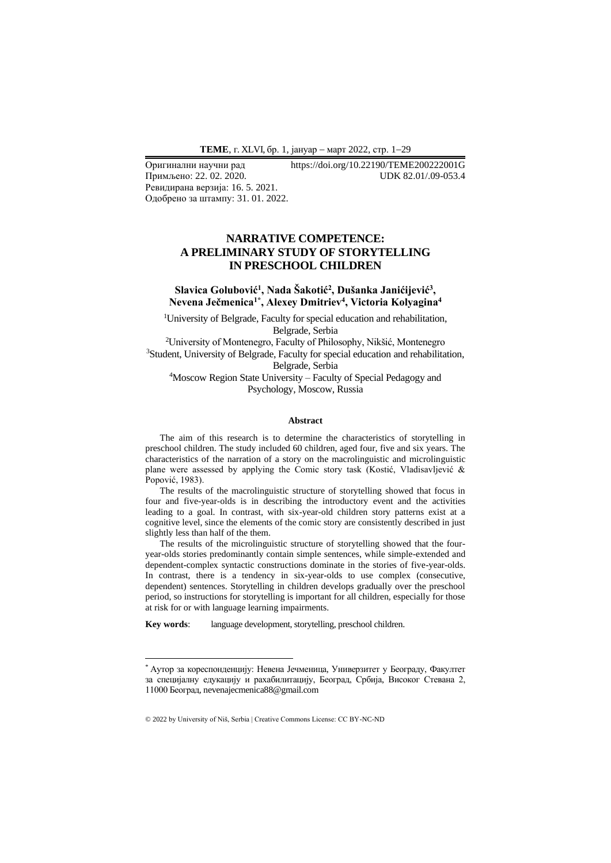Примљено: 22.02.2020. Ревидирана верзија: 16. 5. 2021. Одобрено за штампу: 31. 01. 2022.

Оригинални научни рад https://doi.org/10.22190/TEME200222001G

# **NARRATIVE COMPETENCE: A PRELIMINARY STUDY OF STORYTELLING IN PRESCHOOL CHILDREN**

## Slavica Golubović<sup>1</sup>, Nada Šakotić<sup>2</sup>, Dušanka Janićijević<sup>3</sup>, **Nevena Ječmenica1\* , Alexey Dmitriev<sup>4</sup> , Victoria Kolyagina 4**

<sup>1</sup>University of Belgrade, Faculty for special education and rehabilitation, Belgrade, Serbia

<sup>2</sup>University of Montenegro, Faculty of Philosophy, Nikšić, Montenegro <sup>3</sup>Student, University of Belgrade, Faculty for special education and rehabilitation, Belgrade, Serbia

<sup>4</sup>Moscow Region State University – Faculty of Special Pedagogy and Psychology, Moscow, Russia

#### **Abstract**

The aim of this research is to determine the characteristics of storytelling in preschool children. The study included 60 children, aged four, five and six years. The characteristics of the narration of a story on the macrolinguistic and microlinguistic plane were assessed by applying the Comic story task (Kostić, Vladisavljević & Popović, 1983).

The results of the macrolinguistic structure of storytelling showed that focus in four and five-year-olds is in describing the introductory event and the activities leading to a goal. In contrast, with six-year-old children story patterns exist at a cognitive level, since the elements of the comic story are consistently described in just slightly less than half of the them.

The results of the microlinguistic structure of storytelling showed that the fouryear-olds stories predominantly contain simple sentences, while simple-extended and dependent-complex syntactic constructions dominate in the stories of five-year-olds. In contrast, there is a tendency in six-year-olds to use complex (consecutive, dependent) sentences. Storytelling in children develops gradually over the preschool period, so instructions for storytelling is important for all children, especially for those at risk for or with language learning impairments.

**Key words**: language development, storytelling, preschool children.

<sup>\*</sup> Аутор за кореспонденцију: Невена Јечменица, Универзитет у Београду, Факултет за специјалну едукацију и рахабилитацију, Београд, Србија, Високог Стевана 2, 11000 Београд, nevenajecmenica88@gmail.com

<sup>© 2022</sup> by University of Niš, Serbia | Creative Commons License: CC BY-NC-ND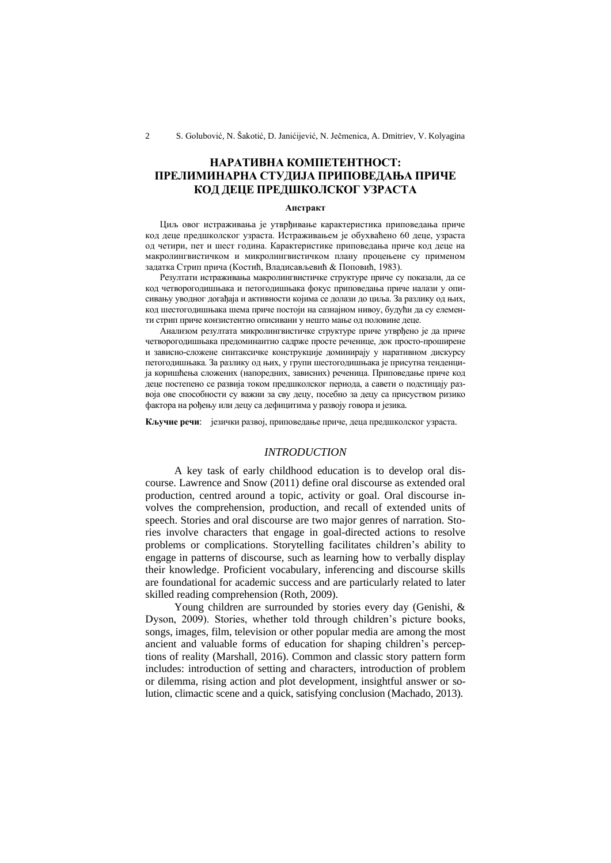# **НАРАТИВНA КОМПЕТЕНТНОСТ: ПРЕЛИМИНАРНА СТУДИЈА ПРИПОВЕДАЊА ПРИЧЕ КОД ДЕЦЕ ПРЕДШКОЛСКОГ УЗРАСТА**

#### **Апстракт**

Циљ овог истраживања је утврђивање карактеристика приповедања приче код деце предшколског узраста. Истраживањем је обухваћено 60 деце, узраста од четири, пет и шест година. Карактеристике приповедања приче код деце на макролингвистичком и микролингвистичком плану процењене су применом задатка Стрип прича (Костић, Владисављевић & Поповић, 1983).

Резултати истраживања макролингвистичке структуре приче су показали, да се код четворогодишњака и петогодишњака фокус приповедања приче налази у описивању уводног догађаја и активности којима се долази до циља. За разлику од њих, код шестогодишњака шема приче постоји на сазнајном нивоу, будући да су елементи стрип приче конзистентно описивани у нешто мање од половине деце.

Анализом резултата микролингвистичке структуре приче утврђено је да приче четворогодишњака предоминантно садрже просте реченице, док просто-проширене и зависно-сложене синтаксичке конструкције доминирају у наративном дискурсу петогодишњака. За разлику од њих, у групи шестогодишњака је присутна тенденција коришћења сложених (напоредних, зависних) реченица. Приповедање приче код деце постепено се развија током предшколског периода, а савети о подстицају развоја ове способности су важни за сву децу, посебно за децу са присуством ризико фактора на рођењу или децу са дефицитима у развоју говора и језика.

**Кључне речи**: језички развој, приповедање приче, деца предшколског узраста.

#### *INTRODUCTION*

A key task of early childhood education is to develop oral discourse. Lawrence and Snow (2011) define oral discourse as extended oral production, centred around a topic, activity or goal. Oral discourse involves the comprehension, production, and recall of extended units of speech. Stories and oral discourse are two major genres of narration. Stories involve characters that engage in goal-directed actions to resolve problems or complications. Storytelling facilitates children's ability to engage in patterns of discourse, such as learning how to verbally display their knowledge. Proficient vocabulary, inferencing and discourse skills are foundational for academic success and are particularly related to later skilled reading comprehension (Roth, 2009).

Young children are surrounded by stories every day (Genishi, & Dyson, 2009). Stories, whether told through children's picture books, songs, images, film, television or other popular media are among the most ancient and valuable forms of education for shaping children's perceptions of reality (Marshall, 2016). Common and classic story pattern form includes: introduction of setting and characters, introduction of problem or dilemma, rising action and plot development, insightful answer or solution, climactic scene and a quick, satisfying conclusion (Machado, 2013).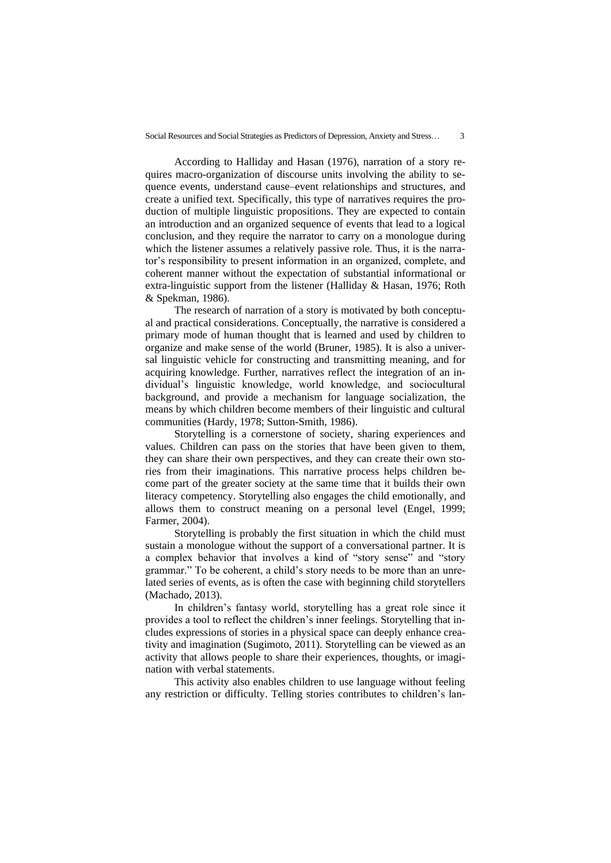According to Halliday and Hasan (1976), narration of a story requires macro-organization of discourse units involving the ability to sequence events, understand cause–event relationships and structures, and create a unified text. Specifically, this type of narratives requires the production of multiple linguistic propositions. They are expected to contain an introduction and an organized sequence of events that lead to a logical conclusion, and they require the narrator to carry on a monologue during which the listener assumes a relatively passive role. Thus, it is the narrator's responsibility to present information in an organized, complete, and coherent manner without the expectation of substantial informational or extra-linguistic support from the listener (Halliday & Hasan, 1976; Roth & Spekman, 1986).

The research of narration of a story is motivated by both conceptual and practical considerations. Conceptually, the narrative is considered a primary mode of human thought that is learned and used by children to organize and make sense of the world (Bruner, 1985). It is also a universal linguistic vehicle for constructing and transmitting meaning, and for acquiring knowledge. Further, narratives reflect the integration of an individual's linguistic knowledge, world knowledge, and sociocultural background, and provide a mechanism for language socialization, the means by which children become members of their linguistic and cultural communities (Hardy, 1978; Sutton-Smith, 1986).

Storytelling is a cornerstone of society, sharing experiences and values. Children can pass on the stories that have been given to them, they can share their own perspectives, and they can create their own stories from their imaginations. This narrative process helps children become part of the greater society at the same time that it builds their own literacy competency. Storytelling also engages the child emotionally, and allows them to construct meaning on a personal level (Engel, 1999; Farmer, 2004).

Storytelling is probably the first situation in which the child must sustain a monologue without the support of a conversational partner. It is a complex behavior that involves a kind of "story sense" and "story grammar." To be coherent, a child's story needs to be more than an unrelated series of events, as is often the case with beginning child storytellers (Machado, 2013).

In children's fantasy world, storytelling has a great role since it provides a tool to reflect the children's inner feelings. Storytelling that includes expressions of stories in a physical space can deeply enhance creativity and imagination (Sugimoto, 2011). Storytelling can be viewed as an activity that allows people to share their experiences, thoughts, or imagination with verbal statements.

This activity also enables children to use language without feeling any restriction or difficulty. Telling stories contributes to children's lan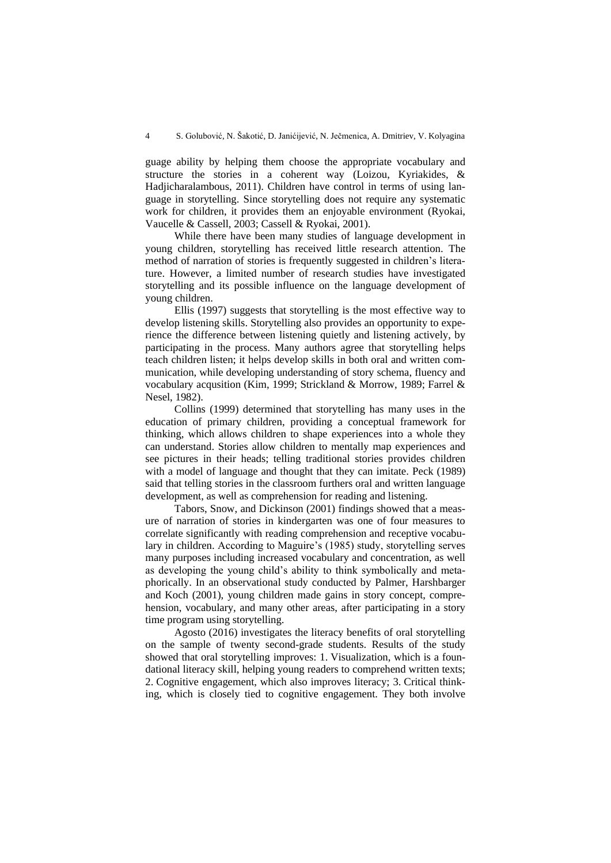guage ability by helping them choose the appropriate vocabulary and structure the stories in a coherent way (Loizou, Kyriakides, & Hadjicharalambous, 2011). Children have control in terms of using language in storytelling. Since storytelling does not require any systematic work for children, it provides them an enjoyable environment (Ryokai, Vaucelle & Cassell, 2003; Cassell & Ryokai, 2001).

While there have been many studies of language development in young children, storytelling has received little research attention. The method of narration of stories is frequently suggested in children's literature. However, a limited number of research studies have investigated storytelling and its possible influence on the language development of young children.

Ellis (1997) suggests that storytelling is the most effective way to develop listening skills. Storytelling also provides an opportunity to experience the difference between listening quietly and listening actively, by participating in the process. Many authors agree that storytelling helps teach children listen; it helps develop skills in both oral and written communication, while developing understanding of story schema, fluency and vocabulary acqusition (Kim, 1999; Strickland & Morrow, 1989; Farrel & Nesel, 1982).

Collins (1999) determined that storytelling has many uses in the education of primary children, providing a conceptual framework for thinking, which allows children to shape experiences into a whole they can understand. Stories allow children to mentally map experiences and see pictures in their heads; telling traditional stories provides children with a model of language and thought that they can imitate. Peck (1989) said that telling stories in the classroom furthers oral and written language development, as well as comprehension for reading and listening.

Tabors, Snow, and Dickinson (2001) findings showed that a measure of narration of stories in kindergarten was one of four measures to correlate significantly with reading comprehension and receptive vocabulary in children. According to Maguire's (1985) study, storytelling serves many purposes including increased vocabulary and concentration, as well as developing the young child's ability to think symbolically and metaphorically. In an observational study conducted by Palmer, Harshbarger and Koch (2001), young children made gains in story concept, comprehension, vocabulary, and many other areas, after participating in a story time program using storytelling.

Agosto (2016) investigates the literacy benefits of oral storytelling on the sample of twenty second-grade students. Results of the study showed that oral storytelling improves: 1. Visualization, which is a foundational literacy skill, helping young readers to comprehend written texts; 2. Cognitive engagement, which also improves literacy; 3. Critical thinking, which is closely tied to cognitive engagement. They both involve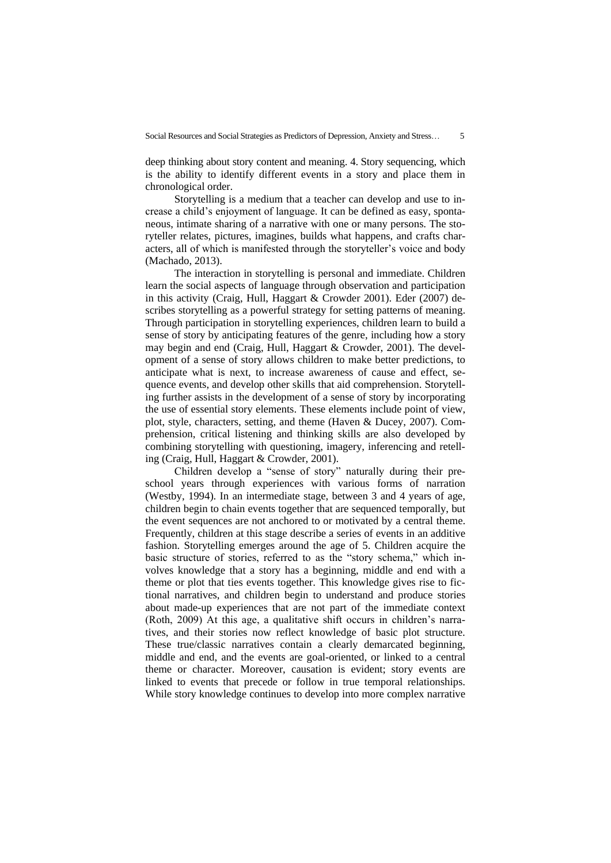deep thinking about story content and meaning. 4. Story sequencing, which is the ability to identify different events in a story and place them in chronological order.

Storytelling is a medium that a teacher can develop and use to increase a child's enjoyment of language. It can be defined as easy, spontaneous, intimate sharing of a narrative with one or many persons. The storyteller relates, pictures, imagines, builds what happens, and crafts characters, all of which is manifested through the storyteller's voice and body (Machado, 2013).

The interaction in storytelling is personal and immediate. Children learn the social aspects of language through observation and participation in this activity (Craig, Hull, Haggart & Crowder 2001). Eder (2007) describes storytelling as a powerful strategy for setting patterns of meaning. Through participation in storytelling experiences, children learn to build a sense of story by anticipating features of the genre, including how a story may begin and end (Craig, Hull, Haggart & Crowder, 2001). The development of a sense of story allows children to make better predictions, to anticipate what is next, to increase awareness of cause and effect, sequence events, and develop other skills that aid comprehension. Storytelling further assists in the development of a sense of story by incorporating the use of essential story elements. These elements include point of view, plot, style, characters, setting, and theme (Haven & Ducey, 2007). Comprehension, critical listening and thinking skills are also developed by combining storytelling with questioning, imagery, inferencing and retelling (Craig, Hull, Haggart & Crowder, 2001).

Children develop a "sense of story" naturally during their preschool years through experiences with various forms of narration (Westby, 1994). In an intermediate stage, between 3 and 4 years of age, children begin to chain events together that are sequenced temporally, but the event sequences are not anchored to or motivated by a central theme. Frequently, children at this stage describe a series of events in an additive fashion. Storytelling emerges around the age of 5. Children acquire the basic structure of stories, referred to as the "story schema," which involves knowledge that a story has a beginning, middle and end with a theme or plot that ties events together. This knowledge gives rise to fictional narratives, and children begin to understand and produce stories about made-up experiences that are not part of the immediate context (Roth, 2009) At this age, a qualitative shift occurs in children's narratives, and their stories now reflect knowledge of basic plot structure. These true/classic narratives contain a clearly demarcated beginning, middle and end, and the events are goal-oriented, or linked to a central theme or character. Moreover, causation is evident; story events are linked to events that precede or follow in true temporal relationships. While story knowledge continues to develop into more complex narrative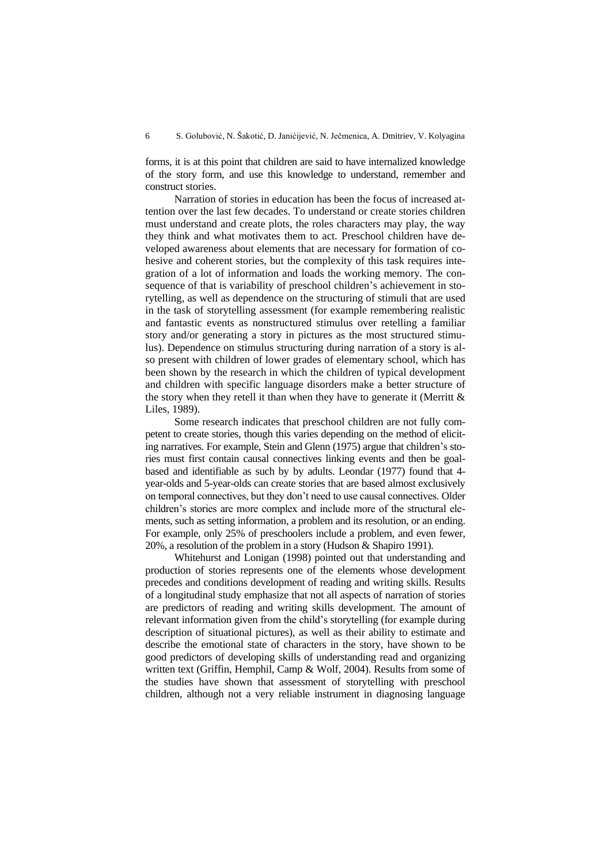forms, it is at this point that children are said to have internalized knowledge of the story form, and use this knowledge to understand, remember and construct stories.

Narration of stories in education has been the focus of increased attention over the last few decades. To understand or create stories children must understand and create plots, the roles characters may play, the way they think and what motivates them to act. Preschool children have developed awareness about elements that are necessary for formation of cohesive and coherent stories, but the complexity of this task requires integration of a lot of information and loads the working memory. The consequence of that is variability of preschool children's achievement in storytelling, as well as dependence on the structuring of stimuli that are used in the task of storytelling assessment (for example remembering realistic and fantastic events as nonstructured stimulus over retelling a familiar story and/or generating a story in pictures as the most structured stimulus). Dependence on stimulus structuring during narration of a story is also present with children of lower grades of elementary school, which has been shown by the research in which the children of typical development and children with specific language disorders make a better structure of the story when they retell it than when they have to generate it (Merritt  $\&$ Liles, 1989).

Some research indicates that preschool children are not fully competent to create stories, though this varies depending on the method of eliciting narratives. For example, Stein and Glenn (1975) argue that children's stories must first contain causal connectives linking events and then be goalbased and identifiable as such by by adults. Leondar (1977) found that 4 year-olds and 5-year-olds can create stories that are based almost exclusively on temporal connectives, but they don't need to use causal connectives. Older children's stories are more complex and include more of the structural elements, such as setting information, a problem and its resolution, or an ending. For example, only 25% of preschoolers include a problem, and even fewer, 20%, a resolution of the problem in a story (Hudson & Shapiro 1991).

Whitehurst and Lonigan (1998) pointed out that understanding and production of stories represents one of the elements whose development precedes and conditions development of reading and writing skills. Results of a longitudinal study emphasize that not all aspects of narration of stories are predictors of reading and writing skills development. The amount of relevant information given from the child's storytelling (for example during description of situational pictures), as well as their ability to estimate and describe the emotional state of characters in the story, have shown to be good predictors of developing skills of understanding read and organizing written text (Griffin, Hemphil, Camp & Wolf, 2004). Results from some of the studies have shown that assessment of storytelling with preschool children, although not a very reliable instrument in diagnosing language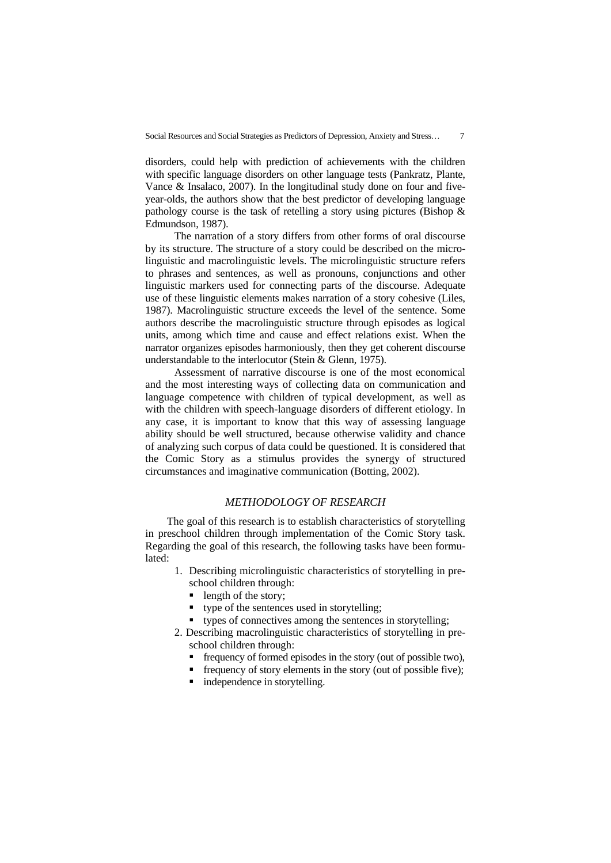disorders, could help with prediction of achievements with the children with specific language disorders on other language tests (Pankratz, Plante, Vance & Insalaco, 2007). In the longitudinal study done on four and fiveyear-olds, the authors show that the best predictor of developing language pathology course is the task of retelling a story using pictures (Bishop & Edmundson, 1987).

The narration of a story differs from other forms of oral discourse by its structure. The structure of a story could be described on the microlinguistic and macrolinguistic levels. The microlinguistic structure refers to phrases and sentences, as well as pronouns, conjunctions and other linguistic markers used for connecting parts of the discourse. Adequate use of these linguistic elements makes narration of a story cohesive (Liles, 1987). Macrolinguistic structure exceeds the level of the sentence. Some authors describe the macrolinguistic structure through episodes as logical units, among which time and cause and effect relations exist. When the narrator organizes episodes harmoniously, then they get coherent discourse understandable to the interlocutor (Stein & Glenn, 1975).

Assessment of narrative discourse is one of the most economical and the most interesting ways of collecting data on communication and language competence with children of typical development, as well as with the children with speech-language disorders of different etiology. In any case, it is important to know that this way of assessing language ability should be well structured, because otherwise validity and chance of analyzing such corpus of data could be questioned. It is considered that the Comic Story as a stimulus provides the synergy of structured circumstances and imaginative communication (Botting, 2002).

## *METHODOLOGY OF RESEARCH*

The goal of this research is to establish characteristics of storytelling in preschool children through implementation of the Comic Story task. Regarding the goal of this research, the following tasks have been formulated:

- 1. Describing microlinguistic characteristics of storytelling in preschool children through:
	- length of the story;
	- type of the sentences used in storytelling;
	- types of connectives among the sentences in storytelling;
- 2. Describing macrolinguistic characteristics of storytelling in preschool children through:
	- frequency of formed episodes in the story (out of possible two),
	- **•** frequency of story elements in the story (out of possible five);
	- independence in storytelling.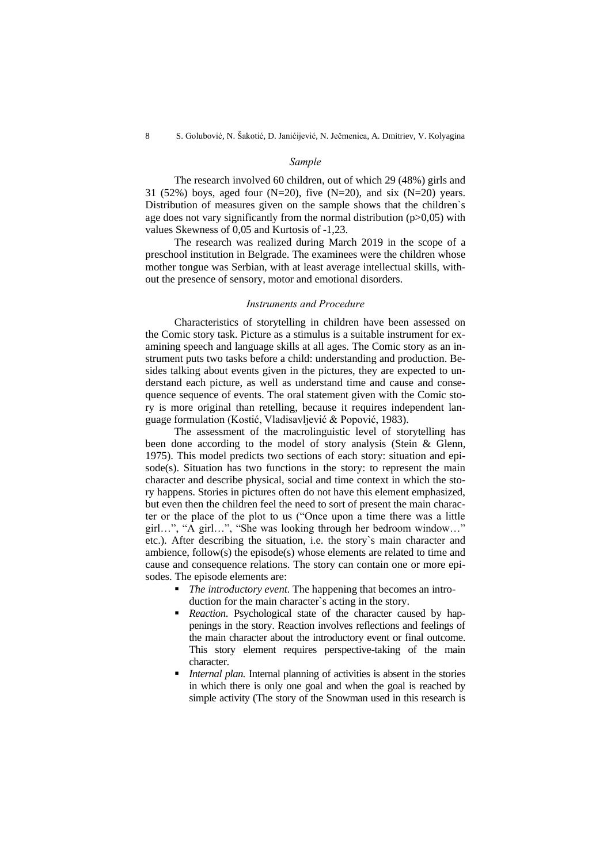## *Sample*

The research involved 60 children, out of which 29 (48%) girls and 31 (52%) boys, aged four (N=20), five (N=20), and six (N=20) years. Distribution of measures given on the sample shows that the children`s age does not vary significantly from the normal distribution  $(p>0,05)$  with values Skewness of 0,05 and Kurtosis of -1,23.

The research was realized during March 2019 in the scope of a preschool institution in Belgrade. The examinees were the children whose mother tongue was Serbian, with at least average intellectual skills, without the presence of sensory, motor and emotional disorders.

#### *Instruments and Procedure*

Characteristics of storytelling in children have been assessed on the Comic story task. Picture as a stimulus is a suitable instrument for examining speech and language skills at all ages. The Comic story as an instrument puts two tasks before a child: understanding and production. Besides talking about events given in the pictures, they are expected to understand each picture, as well as understand time and cause and consequence sequence of events. The oral statement given with the Comic story is more original than retelling, because it requires independent language formulation (Kostić, Vladisavljević & Popović, 1983).

The assessment of the macrolinguistic level of storytelling has been done according to the model of story analysis (Stein & Glenn, 1975). This model predicts two sections of each story: situation and episode(s). Situation has two functions in the story: to represent the main character and describe physical, social and time context in which the story happens. Stories in pictures often do not have this element emphasized, but even then the children feel the need to sort of present the main character or the place of the plot to us ("Once upon a time there was a little girl…", "A girl…", "She was looking through her bedroom window…" etc.). After describing the situation, i.e. the story`s main character and ambience, follow(s) the episode(s) whose elements are related to time and cause and consequence relations. The story can contain one or more episodes. The episode elements are:

- *The introductory event*. The happening that becomes an introduction for the main character`s acting in the story.
- **•** *Reaction*. Psychological state of the character caused by happenings in the story. Reaction involves reflections and feelings of the main character about the introductory event or final outcome. This story element requires perspective-taking of the main character.
- *Internal plan.* Internal planning of activities is absent in the stories in which there is only one goal and when the goal is reached by simple activity (The story of the Snowman used in this research is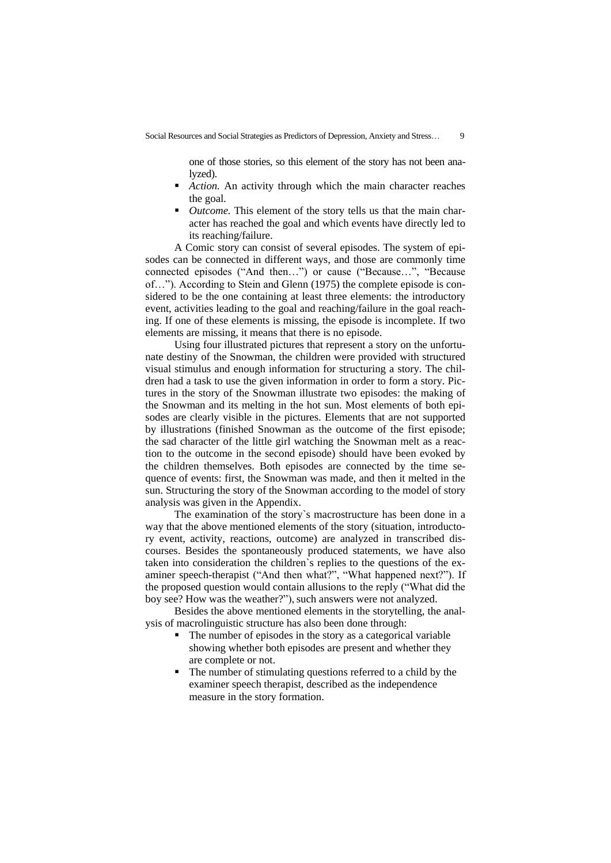one of those stories, so this element of the story has not been analyzed).

- *Action*. An activity through which the main character reaches the goal.
- *Outcome*. This element of the story tells us that the main character has reached the goal and which events have directly led to its reaching/failure.

A Comic story can consist of several episodes. The system of episodes can be connected in different ways, and those are commonly time connected episodes ("And then…") or cause ("Because…", "Because of…"). According to Stein and Glenn (1975) the complete episode is considered to be the one containing at least three elements: the introductory event, activities leading to the goal and reaching/failure in the goal reaching. If one of these elements is missing, the episode is incomplete. If two elements are missing, it means that there is no episode.

Using four illustrated pictures that represent a story on the unfortunate destiny of the Snowman, the children were provided with structured visual stimulus and enough information for structuring a story. The children had a task to use the given information in order to form a story. Pictures in the story of the Snowman illustrate two episodes: the making of the Snowman and its melting in the hot sun. Most elements of both episodes are clearly visible in the pictures. Elements that are not supported by illustrations (finished Snowman as the outcome of the first episode; the sad character of the little girl watching the Snowman melt as a reaction to the outcome in the second episode) should have been evoked by the children themselves. Both episodes are connected by the time sequence of events: first, the Snowman was made, and then it melted in the sun. Structuring the story of the Snowman according to the model of story analysis was given in the Appendix.

The examination of the story`s macrostructure has been done in a way that the above mentioned elements of the story (situation, introductory event, activity, reactions, outcome) are analyzed in transcribed discourses. Besides the spontaneously produced statements, we have also taken into consideration the children`s replies to the questions of the examiner speech-therapist ("And then what?", "What happened next?"). If the proposed question would contain allusions to the reply ("What did the boy see? How was the weather?"), such answers were not analyzed.

Besides the above mentioned elements in the storytelling, the analysis of macrolinguistic structure has also been done through:

- The number of episodes in the story as a categorical variable showing whether both episodes are present and whether they are complete or not.
- The number of stimulating questions referred to a child by the examiner speech therapist, described as the independence measure in the story formation.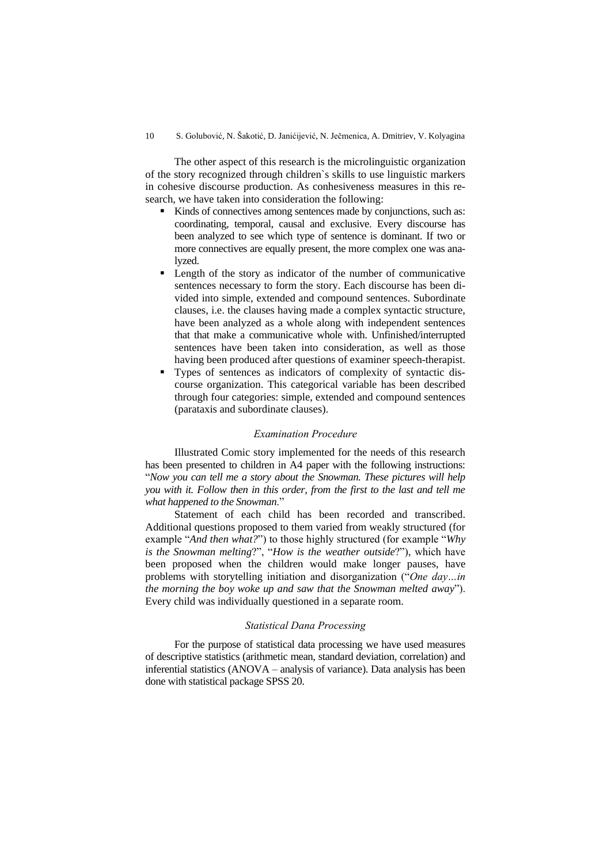The other aspect of this research is the microlinguistic organization of the story recognized through children`s skills to use linguistic markers in cohesive discourse production. As conhesiveness measures in this research, we have taken into consideration the following:

- Kinds of connectives among sentences made by conjunctions, such as: coordinating, temporal, causal and exclusive. Every discourse has been analyzed to see which type of sentence is dominant. If two or more connectives are equally present, the more complex one was analyzed.
- Length of the story as indicator of the number of communicative sentences necessary to form the story. Each discourse has been divided into simple, extended and compound sentences. Subordinate clauses, i.e. the clauses having made a complex syntactic structure, have been analyzed as a whole along with independent sentences that that make a communicative whole with. Unfinished/interrupted sentences have been taken into consideration, as well as those having been produced after questions of examiner speech-therapist.
- Types of sentences as indicators of complexity of syntactic discourse organization. This categorical variable has been described through four categories: simple, extended and compound sentences (parataxis and subordinate clauses).

#### *Examination Procedure*

Illustrated Comic story implemented for the needs of this research has been presented to children in A4 paper with the following instructions: "*Now you can tell me a story about the Snowman. These pictures will help you with it. Follow then in this order, from the first to the last and tell me what happened to the Snowman*."

Statement of each child has been recorded and transcribed. Additional questions proposed to them varied from weakly structured (for example "*And then what?*") to those highly structured (for example "*Why is the Snowman melting*?", "*How is the weather outside*?"), which have been proposed when the children would make longer pauses, have problems with storytelling initiation and disorganization ("*One day…in the morning the boy woke up and saw that the Snowman melted away*"). Every child was individually questioned in a separate room.

#### *Statistical Dana Processing*

For the purpose of statistical data processing we have used measures of descriptive statistics (arithmetic mean, standard deviation, correlation) and inferential statistics (ANOVA – analysis of variance). Data analysis has been done with statistical package SPSS 20.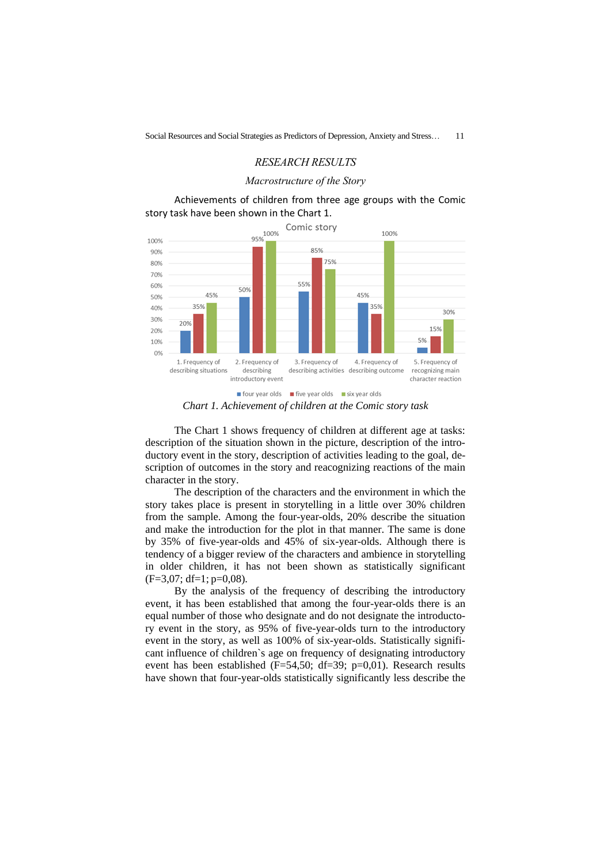## *RESEARCH RESULTS*

#### *Macrostructure of the Story*

Achievements of children from three age groups with the Comic story task have been shown in the Chart 1.



■ four year olds ■ five year olds ■ six year olds *Chart 1. Achievement of children at the Comic story task*

The Chart 1 shows frequency of children at different age at tasks: description of the situation shown in the picture, description of the introductory event in the story, description of activities leading to the goal, description of outcomes in the story and reacognizing reactions of the main character in the story.

The description of the characters and the environment in which the story takes place is present in storytelling in a little over 30% children from the sample. Among the four-year-olds, 20% describe the situation and make the introduction for the plot in that manner. The same is done by 35% of five-year-olds and 45% of six-year-olds. Although there is tendency of a bigger review of the characters and ambience in storytelling in older children, it has not been shown as statistically significant (F=3,07; df=1; p=0,08).

By the analysis of the frequency of describing the introductory event, it has been established that among the four-year-olds there is an equal number of those who designate and do not designate the introductory event in the story, as 95% of five-year-olds turn to the introductory event in the story, as well as 100% of six-year-olds. Statistically significant influence of children`s age on frequency of designating introductory event has been established (F=54,50; df=39; p=0,01). Research results have shown that four-year-olds statistically significantly less describe the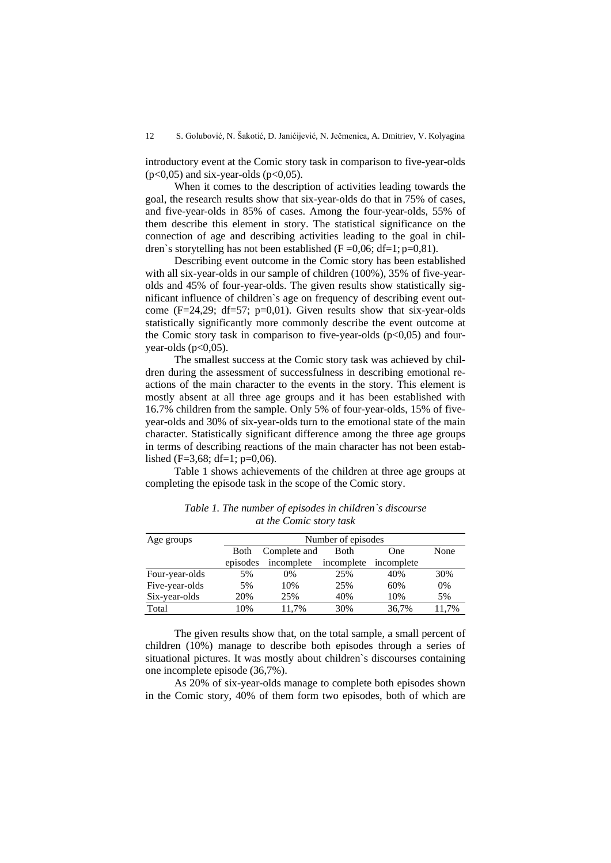introductory event at the Comic story task in comparison to five-year-olds  $(p<0.05)$  and six-year-olds  $(p<0.05)$ .

When it comes to the description of activities leading towards the goal, the research results show that six-year-olds do that in 75% of cases, and five-year-olds in 85% of cases. Among the four-year-olds, 55% of them describe this element in story. The statistical significance on the connection of age and describing activities leading to the goal in children`s storytelling has not been established ( $F = 0.06$ ; df=1; p=0,81).

Describing event outcome in the Comic story has been established with all six-year-olds in our sample of children (100%), 35% of five-yearolds and 45% of four-year-olds. The given results show statistically significant influence of children`s age on frequency of describing event outcome  $(F=24,29; df=57; p=0,01)$ . Given results show that six-year-olds statistically significantly more commonly describe the event outcome at the Comic story task in comparison to five-year-olds  $(p<0.05)$  and fouryear-olds ( $p<0,05$ ).

The smallest success at the Comic story task was achieved by children during the assessment of successfulness in describing emotional reactions of the main character to the events in the story. This element is mostly absent at all three age groups and it has been established with 16.7% children from the sample. Only 5% of four-year-olds, 15% of fiveyear-olds and 30% of six-year-olds turn to the emotional state of the main character. Statistically significant difference among the three age groups in terms of describing reactions of the main character has not been established (F=3,68; df=1;  $p=0,06$ ).

Table 1 shows achievements of the children at three age groups at completing the episode task in the scope of the Comic story.

| Age groups     | Number of episodes |                       |      |            |       |
|----------------|--------------------|-----------------------|------|------------|-------|
|                | Both               | Complete and          | Both | One        | None  |
|                | episodes           | incomplete incomplete |      | incomplete |       |
| Four-year-olds | 5%                 | 0%                    | 25%  | 40%        | 30%   |
| Five-year-olds | 5%                 | 10%                   | 25%  | 60%        | 0%    |
| Six-year-olds  | 20%                | 25%                   | 40%  | 10%        | 5%    |
| Total          | 10%                | 11.7%                 | 30%  | 36,7%      | 11.7% |

*Table 1. The number of episodes in children`s discourse at the Comic story task*

The given results show that, on the total sample, a small percent of children (10%) manage to describe both episodes through a series of situational pictures. It was mostly about children`s discourses containing one incomplete episode (36,7%).

As 20% of six-year-olds manage to complete both episodes shown in the Comic story, 40% of them form two episodes, both of which are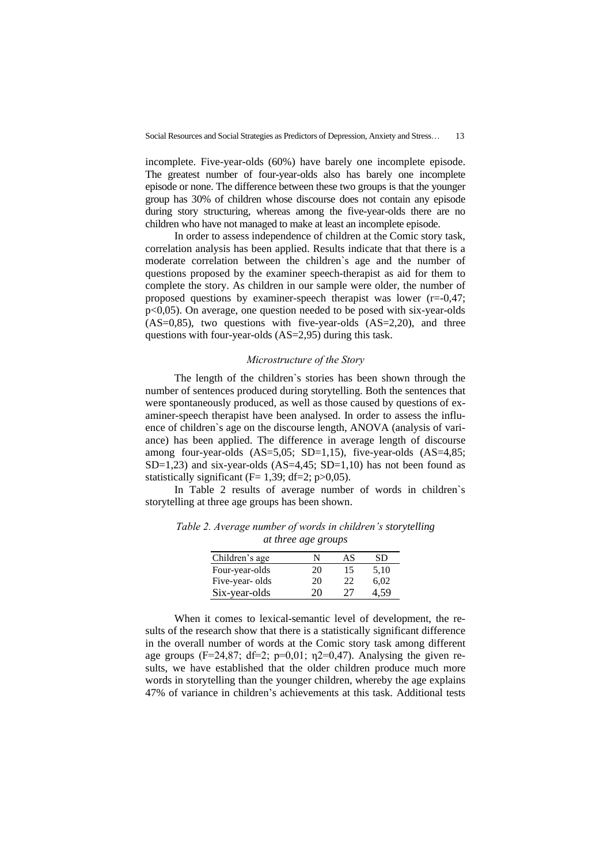incomplete. Five-year-olds (60%) have barely one incomplete episode. The greatest number of four-year-olds also has barely one incomplete episode or none. The difference between these two groups is that the younger group has 30% of children whose discourse does not contain any episode during story structuring, whereas among the five-year-olds there are no children who have not managed to make at least an incomplete episode.

In order to assess independence of children at the Comic story task, correlation analysis has been applied. Results indicate that that there is a moderate correlation between the children`s age and the number of questions proposed by the examiner speech-therapist as aid for them to complete the story. As children in our sample were older, the number of proposed questions by examiner-speech therapist was lower (r=-0,47; p<0,05). On average, one question needed to be posed with six-year-olds  $(AS=0,85)$ , two questions with five-year-olds  $(AS=2,20)$ , and three questions with four-year-olds (AS=2,95) during this task.

## *Microstructure of the Story*

The length of the children`s stories has been shown through the number of sentences produced during storytelling. Both the sentences that were spontaneously produced, as well as those caused by questions of examiner-speech therapist have been analysed. In order to assess the influence of children`s age on the discourse length, ANOVA (analysis of variance) has been applied. The difference in average length of discourse among four-year-olds (AS=5,05; SD=1,15), five-year-olds (AS=4,85; SD=1,23) and six-year-olds  $(AS=4,45; SD=1,10)$  has not been found as statistically significant ( $F= 1,39$ ; df=2; p $>0,05$ ).

In Table 2 results of average number of words in children`s storytelling at three age groups has been shown.

| Children's age | N  | AS | SD   |
|----------------|----|----|------|
| Four-year-olds | 20 | 15 | 5,10 |
| Five-year-olds | 20 | 22 | 6,02 |
| Six-year-olds  | 20 | 27 |      |

*Table 2. Average number of words in children's storytelling at three age groups*

When it comes to lexical-semantic level of development, the results of the research show that there is a statistically significant difference in the overall number of words at the Comic story task among different age groups (F=24,87; df=2; p=0,01;  $n2=0,47$ ). Analysing the given results, we have established that the older children produce much more words in storytelling than the younger children, whereby the age explains 47% of variance in children's achievements at this task. Additional tests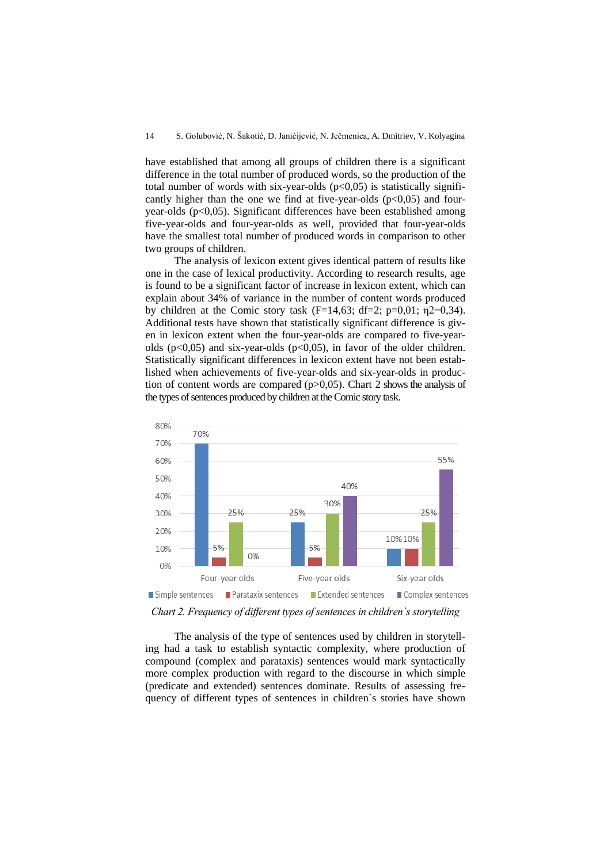have established that among all groups of children there is a significant difference in the total number of produced words, so the production of the total number of words with six-year-olds  $(p<0.05)$  is statistically significantly higher than the one we find at five-year-olds  $(p<0,05)$  and fouryear-olds (p<0,05). Significant differences have been established among five-year-olds and four-year-olds as well, provided that four-year-olds have the smallest total number of produced words in comparison to other two groups of children.

The analysis of lexicon extent gives identical pattern of results like one in the case of lexical productivity. According to research results, age is found to be a significant factor of increase in lexicon extent, which can explain about 34% of variance in the number of content words produced by children at the Comic story task (F=14,63; df=2; p=0,01;  $n2=0,34$ ). Additional tests have shown that statistically significant difference is given in lexicon extent when the four-year-olds are compared to five-yearolds ( $p<0.05$ ) and six-year-olds ( $p<0.05$ ), in favor of the older children. Statistically significant differences in lexicon extent have not been established when achievements of five-year-olds and six-year-olds in production of content words are compared  $(p>0,05)$ . Chart 2 shows the analysis of the types of sentences produced by children at the Comic story task.



*Chart 2. Frequency of different types of sentences in children`s storytelling*

The analysis of the type of sentences used by children in storytelling had a task to establish syntactic complexity, where production of compound (complex and parataxis) sentences would mark syntactically more complex production with regard to the discourse in which simple (predicate and extended) sentences dominate. Results of assessing frequency of different types of sentences in children`s stories have shown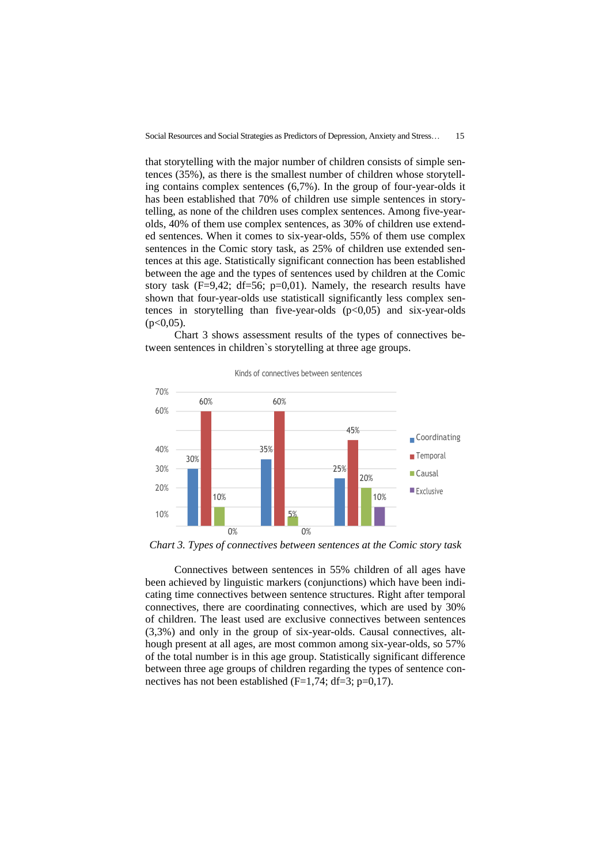that storytelling with the major number of children consists of simple sentences (35%), as there is the smallest number of children whose storytelling contains complex sentences (6,7%). In the group of four-year-olds it has been established that 70% of children use simple sentences in storytelling, as none of the children uses complex sentences. Among five-yearolds, 40% of them use complex sentences, as 30% of children use extended sentences. When it comes to six-year-olds, 55% of them use complex sentences in the Comic story task, as 25% of children use extended sentences at this age. Statistically significant connection has been established between the age and the types of sentences used by children at the Comic story task (F=9,42; df=56; p=0,01). Namely, the research results have shown that four-year-olds use statisticall significantly less complex sentences in storytelling than five-year-olds  $(p<0.05)$  and six-year-olds  $(p<0.05)$ .



Chart 3 shows assessment results of the types of connectives between sentences in children`s storytelling at three age groups.

0% *Chart 3. Types of connectives between sentences at the Comic story task*

Connectives between sentences in 55% children of all ages have been achieved by linguistic markers (conjunctions) which have been indicating time connectives between sentence structures. Right after temporal connectives, there are coordinating connectives, which are used by 30% of children. The least used are exclusive connectives between sentences (3,3%) and only in the group of six-year-olds. Causal connectives, although present at all ages, are most common among six-year-olds, so 57% of the total number is in this age group. Statistically significant difference between three age groups of children regarding the types of sentence connectives has not been established  $(F=1,74; df=3; p=0,17)$ .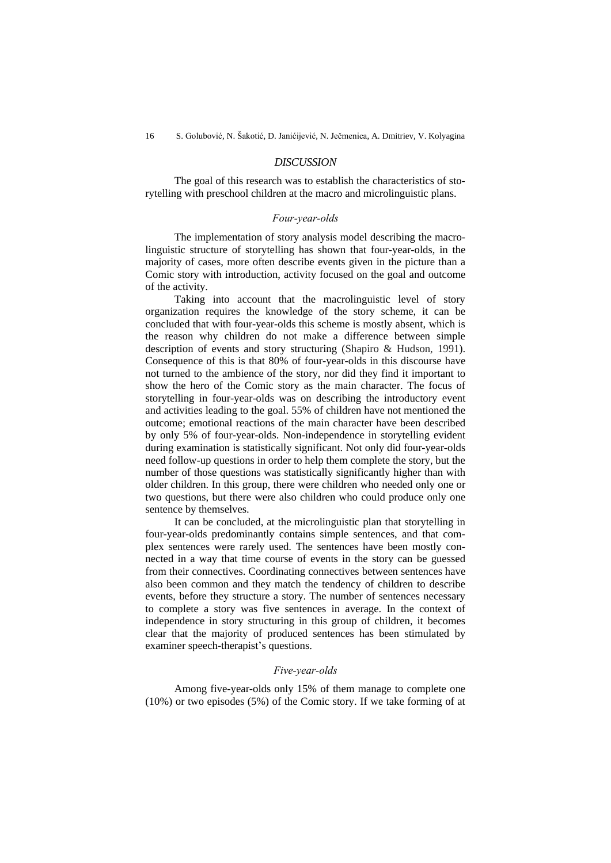## *DISCUSSION*

The goal of this research was to establish the characteristics of storytelling with preschool children at the macro and microlinguistic plans.

## *Four-year-olds*

The implementation of story analysis model describing the macrolinguistic structure of storytelling has shown that four-year-olds, in the majority of cases, more often describe events given in the picture than a Comic story with introduction, activity focused on the goal and outcome of the activity.

Taking into account that the macrolinguistic level of story organization requires the knowledge of the story scheme, it can be concluded that with four-year-olds this scheme is mostly absent, which is the reason why children do not make a difference between simple description of events and story structuring (Shapiro & Hudson, 1991). Consequence of this is that 80% of four-year-olds in this discourse have not turned to the ambience of the story, nor did they find it important to show the hero of the Comic story as the main character. The focus of storytelling in four-year-olds was on describing the introductory event and activities leading to the goal. 55% of children have not mentioned the outcome; emotional reactions of the main character have been described by only 5% of four-year-olds. Non-independence in storytelling evident during examination is statistically significant. Not only did four-year-olds need follow-up questions in order to help them complete the story, but the number of those questions was statistically significantly higher than with older children. In this group, there were children who needed only one or two questions, but there were also children who could produce only one sentence by themselves.

It can be concluded, at the microlinguistic plan that storytelling in four-year-olds predominantly contains simple sentences, and that complex sentences were rarely used. The sentences have been mostly connected in a way that time course of events in the story can be guessed from their connectives. Coordinating connectives between sentences have also been common and they match the tendency of children to describe events, before they structure a story. The number of sentences necessary to complete a story was five sentences in average. In the context of independence in story structuring in this group of children, it becomes clear that the majority of produced sentences has been stimulated by examiner speech-therapist's questions.

## *Five-year-olds*

Among five-year-olds only 15% of them manage to complete one (10%) or two episodes (5%) of the Comic story. If we take forming of at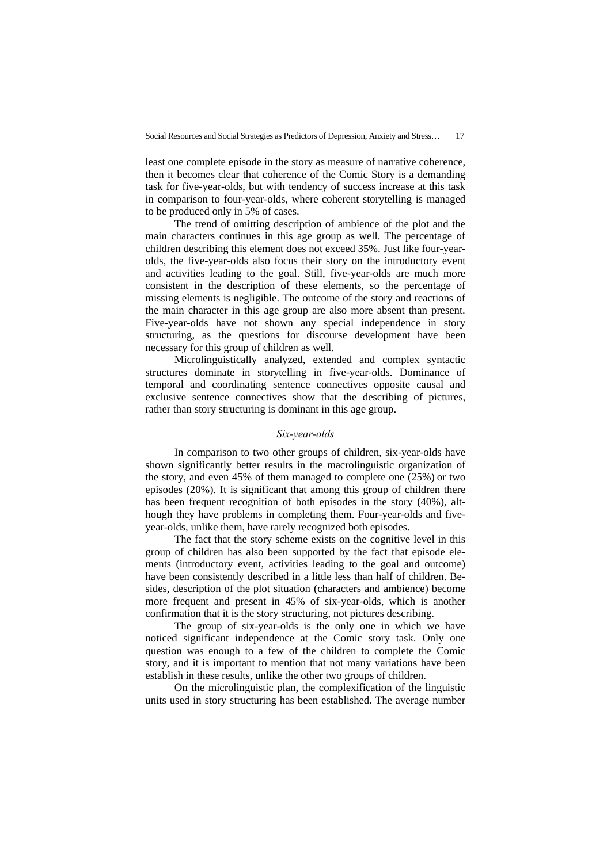least one complete episode in the story as measure of narrative coherence, then it becomes clear that coherence of the Comic Story is a demanding task for five-year-olds, but with tendency of success increase at this task in comparison to four-year-olds, where coherent storytelling is managed to be produced only in 5% of cases.

The trend of omitting description of ambience of the plot and the main characters continues in this age group as well. The percentage of children describing this element does not exceed 35%. Just like four-yearolds, the five-year-olds also focus their story on the introductory event and activities leading to the goal. Still, five-year-olds are much more consistent in the description of these elements, so the percentage of missing elements is negligible. The outcome of the story and reactions of the main character in this age group are also more absent than present. Five-year-olds have not shown any special independence in story structuring, as the questions for discourse development have been necessary for this group of children as well.

Microlinguistically analyzed, extended and complex syntactic structures dominate in storytelling in five-year-olds. Dominance of temporal and coordinating sentence connectives opposite causal and exclusive sentence connectives show that the describing of pictures, rather than story structuring is dominant in this age group.

## *Six-year-olds*

In comparison to two other groups of children, six-year-olds have shown significantly better results in the macrolinguistic organization of the story, and even 45% of them managed to complete one (25%) or two episodes (20%). It is significant that among this group of children there has been frequent recognition of both episodes in the story (40%), although they have problems in completing them. Four-year-olds and fiveyear-olds, unlike them, have rarely recognized both episodes.

The fact that the story scheme exists on the cognitive level in this group of children has also been supported by the fact that episode elements (introductory event, activities leading to the goal and outcome) have been consistently described in a little less than half of children. Besides, description of the plot situation (characters and ambience) become more frequent and present in 45% of six-year-olds, which is another confirmation that it is the story structuring, not pictures describing.

The group of six-year-olds is the only one in which we have noticed significant independence at the Comic story task. Only one question was enough to a few of the children to complete the Comic story, and it is important to mention that not many variations have been establish in these results, unlike the other two groups of children.

On the microlinguistic plan, the complexification of the linguistic units used in story structuring has been established. The average number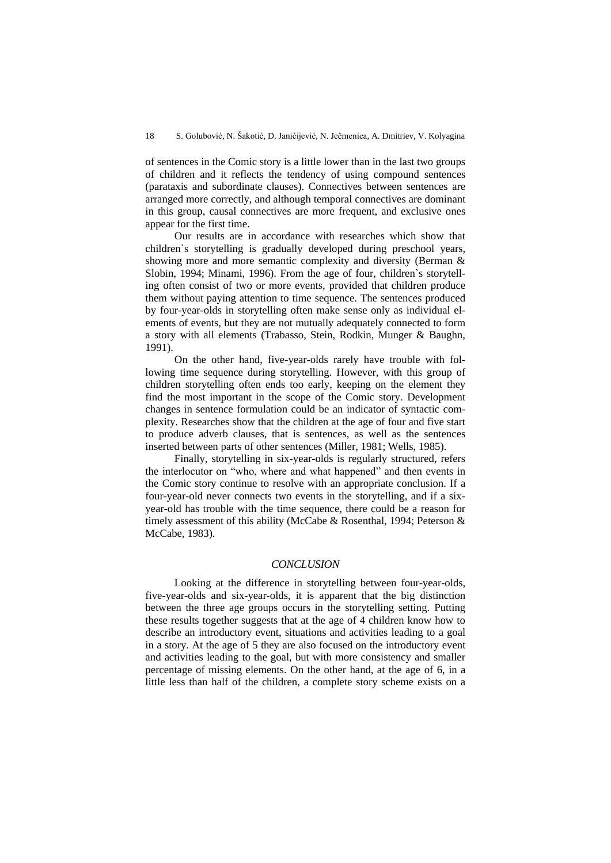of sentences in the Comic story is a little lower than in the last two groups of children and it reflects the tendency of using compound sentences (parataxis and subordinate clauses). Connectives between sentences are arranged more correctly, and although temporal connectives are dominant in this group, causal connectives are more frequent, and exclusive ones appear for the first time.

Our results are in accordance with researches which show that children`s storytelling is gradually developed during preschool years, showing more and more semantic complexity and diversity (Berman & Slobin, 1994; Minami, 1996). From the age of four, children`s storytelling often consist of two or more events, provided that children produce them without paying attention to time sequence. The sentences produced by four-year-olds in storytelling often make sense only as individual elements of events, but they are not mutually adequately connected to form a story with all elements (Trabasso, Stein, Rodkin, Munger & Baughn, 1991).

On the other hand, five-year-olds rarely have trouble with following time sequence during storytelling. However, with this group of children storytelling often ends too early, keeping on the element they find the most important in the scope of the Comic story. Development changes in sentence formulation could be an indicator of syntactic complexity. Researches show that the children at the age of four and five start to produce adverb clauses, that is sentences, as well as the sentences inserted between parts of other sentences (Miller, 1981; Wells, 1985).

Finally, storytelling in six-year-olds is regularly structured, refers the interlocutor on "who, where and what happened" and then events in the Comic story continue to resolve with an appropriate conclusion. If a four-year-old never connects two events in the storytelling, and if a sixyear-old has trouble with the time sequence, there could be a reason for timely assessment of this ability (McCabe & Rosenthal, 1994; Peterson & McCabe, 1983).

## *CONCLUSION*

Looking at the difference in storytelling between four-year-olds, five-year-olds and six-year-olds, it is apparent that the big distinction between the three age groups occurs in the storytelling setting. Putting these results together suggests that at the age of 4 children know how to describe an introductory event, situations and activities leading to a goal in a story. At the age of 5 they are also focused on the introductory event and activities leading to the goal, but with more consistency and smaller percentage of missing elements. On the other hand, at the age of 6, in a little less than half of the children, a complete story scheme exists on a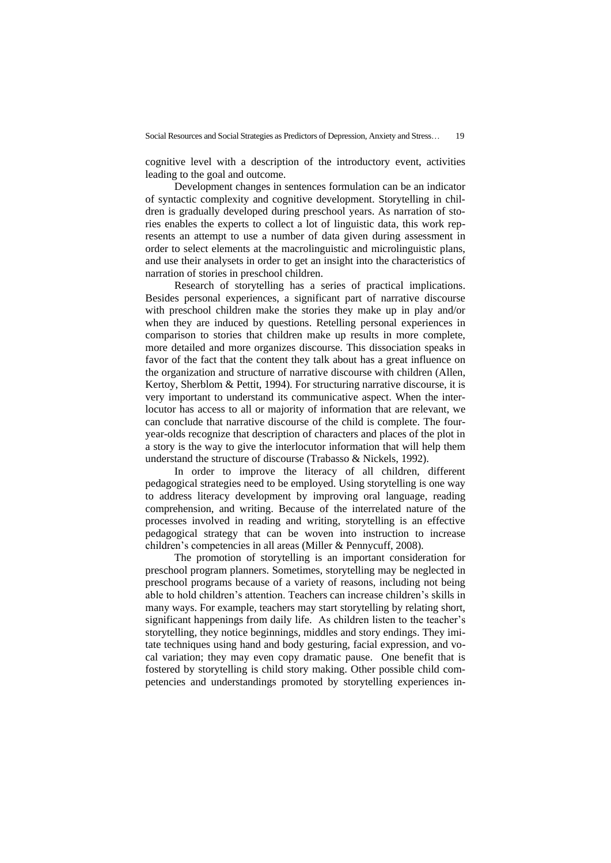cognitive level with a description of the introductory event, activities leading to the goal and outcome.

Development changes in sentences formulation can be an indicator of syntactic complexity and cognitive development. Storytelling in children is gradually developed during preschool years. As narration of stories enables the experts to collect a lot of linguistic data, this work represents an attempt to use a number of data given during assessment in order to select elements at the macrolinguistic and microlinguistic plans, and use their analysets in order to get an insight into the characteristics of narration of stories in preschool children.

Research of storytelling has a series of practical implications. Besides personal experiences, a significant part of narrative discourse with preschool children make the stories they make up in play and/or when they are induced by questions. Retelling personal experiences in comparison to stories that children make up results in more complete, more detailed and more organizes discourse. This dissociation speaks in favor of the fact that the content they talk about has a great influence on the organization and structure of narrative discourse with children (Allen, Kertoy, Sherblom & Pettit, 1994). For structuring narrative discourse, it is very important to understand its communicative aspect. When the interlocutor has access to all or majority of information that are relevant, we can conclude that narrative discourse of the child is complete. The fouryear-olds recognize that description of characters and places of the plot in a story is the way to give the interlocutor information that will help them understand the structure of discourse (Trabasso & Nickels, 1992).

In order to improve the literacy of all children, different pedagogical strategies need to be employed. Using storytelling is one way to address literacy development by improving oral language, reading comprehension, and writing. Because of the interrelated nature of the processes involved in reading and writing, storytelling is an effective pedagogical strategy that can be woven into instruction to increase children's competencies in all areas (Miller & Pennycuff, 2008).

The promotion of storytelling is an important consideration for preschool program planners. Sometimes, storytelling may be neglected in preschool programs because of a variety of reasons, including not being able to hold children's attention. Teachers can increase children's skills in many ways. For example, teachers may start storytelling by relating short, significant happenings from daily life. As children listen to the teacher's storytelling, they notice beginnings, middles and story endings. They imitate techniques using hand and body gesturing, facial expression, and vocal variation; they may even copy dramatic pause. One benefit that is fostered by storytelling is child story making. Other possible child competencies and understandings promoted by storytelling experiences in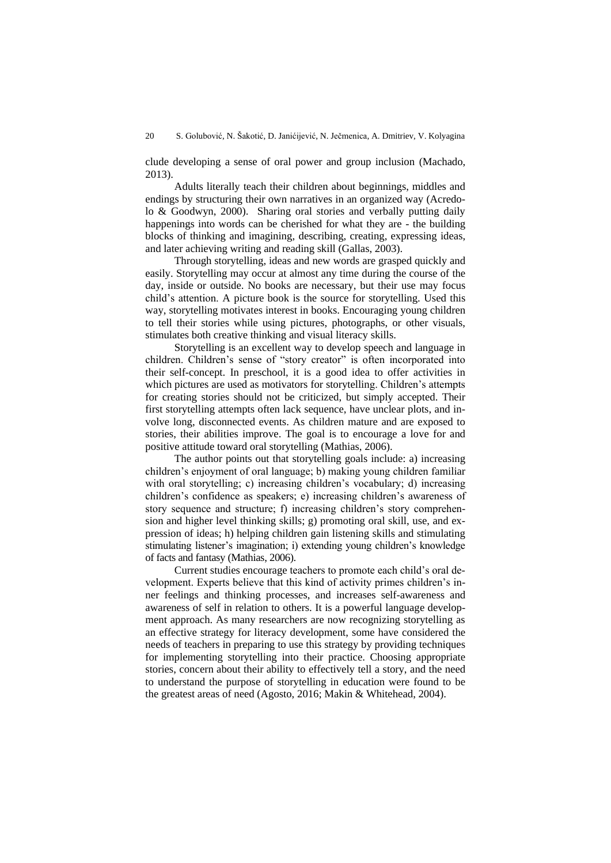clude developing a sense of oral power and group inclusion (Machado, 2013).

Adults literally teach their children about beginnings, middles and endings by structuring their own narratives in an organized way (Acredolo & Goodwyn, 2000). Sharing oral stories and verbally putting daily happenings into words can be cherished for what they are - the building blocks of thinking and imagining, describing, creating, expressing ideas, and later achieving writing and reading skill (Gallas, 2003).

Through storytelling, ideas and new words are grasped quickly and easily. Storytelling may occur at almost any time during the course of the day, inside or outside. No books are necessary, but their use may focus child's attention. A picture book is the source for storytelling. Used this way, storytelling motivates interest in books. Encouraging young children to tell their stories while using pictures, photographs, or other visuals, stimulates both creative thinking and visual literacy skills.

Storytelling is an excellent way to develop speech and language in children. Children's sense of "story creator" is often incorporated into their self-concept. In preschool, it is a good idea to offer activities in which pictures are used as motivators for storytelling. Children's attempts for creating stories should not be criticized, but simply accepted. Their first storytelling attempts often lack sequence, have unclear plots, and involve long, disconnected events. As children mature and are exposed to stories, their abilities improve. The goal is to encourage a love for and positive attitude toward oral storytelling (Mathias, 2006).

The author points out that storytelling goals include: a) increasing children's enjoyment of oral language; b) making young children familiar with oral storytelling; c) increasing children's vocabulary; d) increasing children's confidence as speakers; e) increasing children's awareness of story sequence and structure; f) increasing children's story comprehension and higher level thinking skills; g) promoting oral skill, use, and expression of ideas; h) helping children gain listening skills and stimulating stimulating listener's imagination; i) extending young children's knowledge of facts and fantasy (Mathias, 2006).

Current studies encourage teachers to promote each child's oral development. Experts believe that this kind of activity primes children's inner feelings and thinking processes, and increases self-awareness and awareness of self in relation to others. It is a powerful language development approach. As many researchers are now recognizing storytelling as an effective strategy for literacy development, some have considered the needs of teachers in preparing to use this strategy by providing techniques for implementing storytelling into their practice. Choosing appropriate stories, concern about their ability to effectively tell a story, and the need to understand the purpose of storytelling in education were found to be the greatest areas of need (Agosto, 2016; Makin & Whitehead, 2004).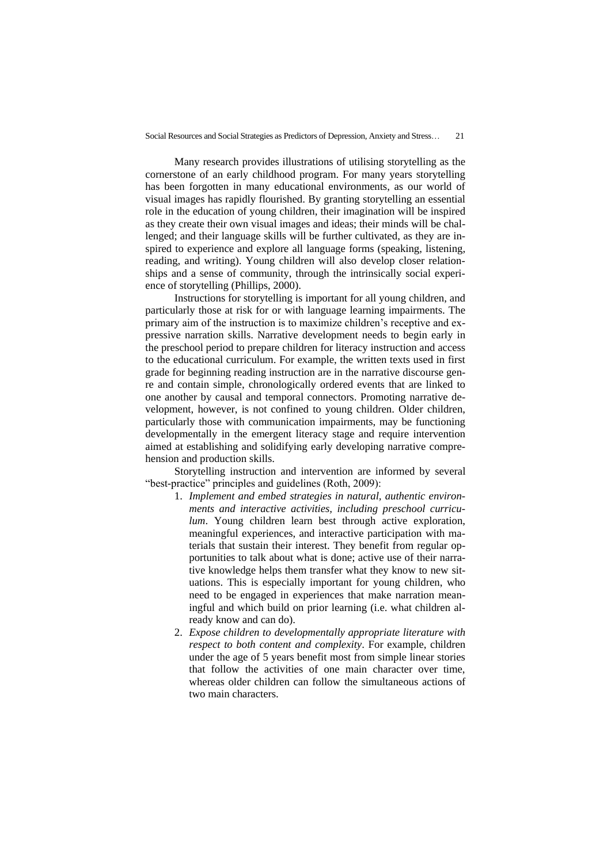Many research provides illustrations of utilising storytelling as the cornerstone of an early childhood program. For many years storytelling has been forgotten in many educational environments, as our world of visual images has rapidly flourished. By granting storytelling an essential role in the education of young children, their imagination will be inspired as they create their own visual images and ideas; their minds will be challenged; and their language skills will be further cultivated, as they are inspired to experience and explore all language forms (speaking, listening, reading, and writing). Young children will also develop closer relationships and a sense of community, through the intrinsically social experience of storytelling (Phillips, 2000).

Instructions for storytelling is important for all young children, and particularly those at risk for or with language learning impairments. The primary aim of the instruction is to maximize children's receptive and expressive narration skills. Narrative development needs to begin early in the preschool period to prepare children for literacy instruction and access to the educational curriculum. For example, the written texts used in first grade for beginning reading instruction are in the narrative discourse genre and contain simple, chronologically ordered events that are linked to one another by causal and temporal connectors. Promoting narrative development, however, is not confined to young children. Older children, particularly those with communication impairments, may be functioning developmentally in the emergent literacy stage and require intervention aimed at establishing and solidifying early developing narrative comprehension and production skills.

Storytelling instruction and intervention are informed by several "best-practice" principles and guidelines (Roth, 2009):

- 1. *Implement and embed strategies in natural, authentic environments and interactive activities, including preschool curriculum*. Young children learn best through active exploration, meaningful experiences, and interactive participation with materials that sustain their interest. They benefit from regular opportunities to talk about what is done; active use of their narrative knowledge helps them transfer what they know to new situations. This is especially important for young children, who need to be engaged in experiences that make narration meaningful and which build on prior learning (i.e. what children already know and can do).
- 2. *Expose children to developmentally appropriate literature with respect to both content and complexity*. For example, children under the age of 5 years benefit most from simple linear stories that follow the activities of one main character over time, whereas older children can follow the simultaneous actions of two main characters.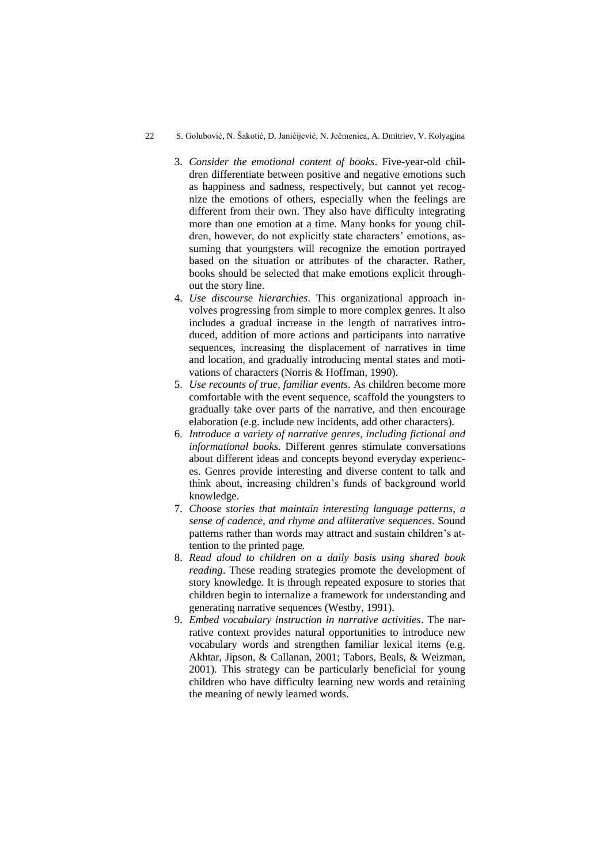#### 22 S. Golubović, N. Šakotić, D. Janićijević, N. Ječmenica, A. Dmitriev, V. Kolyagina

- 3. *Consider the emotional content of books*. Five-year-old children differentiate between positive and negative emotions such as happiness and sadness, respectively, but cannot yet recognize the emotions of others, especially when the feelings are different from their own. They also have difficulty integrating more than one emotion at a time. Many books for young children, however, do not explicitly state characters' emotions, assuming that youngsters will recognize the emotion portrayed based on the situation or attributes of the character. Rather, books should be selected that make emotions explicit throughout the story line.
- 4. *Use discourse hierarchies*. This organizational approach involves progressing from simple to more complex genres. It also includes a gradual increase in the length of narratives introduced, addition of more actions and participants into narrative sequences, increasing the displacement of narratives in time and location, and gradually introducing mental states and motivations of characters (Norris & Hoffman, 1990).
- 5. *Use recounts of true, familiar events*. As children become more comfortable with the event sequence, scaffold the youngsters to gradually take over parts of the narrative, and then encourage elaboration (e.g. include new incidents, add other characters).
- 6. *Introduce a variety of narrative genres, including fictional and informational books*. Different genres stimulate conversations about different ideas and concepts beyond everyday experiences. Genres provide interesting and diverse content to talk and think about, increasing children's funds of background world knowledge.
- 7. *Choose stories that maintain interesting language patterns, a sense of cadence, and rhyme and alliterative sequences*. Sound patterns rather than words may attract and sustain children's attention to the printed page.
- 8. *Read aloud to children on a daily basis using shared book reading*. These reading strategies promote the development of story knowledge. It is through repeated exposure to stories that children begin to internalize a framework for understanding and generating narrative sequences (Westby, 1991).
- 9. *Embed vocabulary instruction in narrative activities*. The narrative context provides natural opportunities to introduce new vocabulary words and strengthen familiar lexical items (e.g. Akhtar, Jipson, & Callanan, 2001; Tabors, Beals, & Weizman, 2001). This strategy can be particularly beneficial for young children who have difficulty learning new words and retaining the meaning of newly learned words.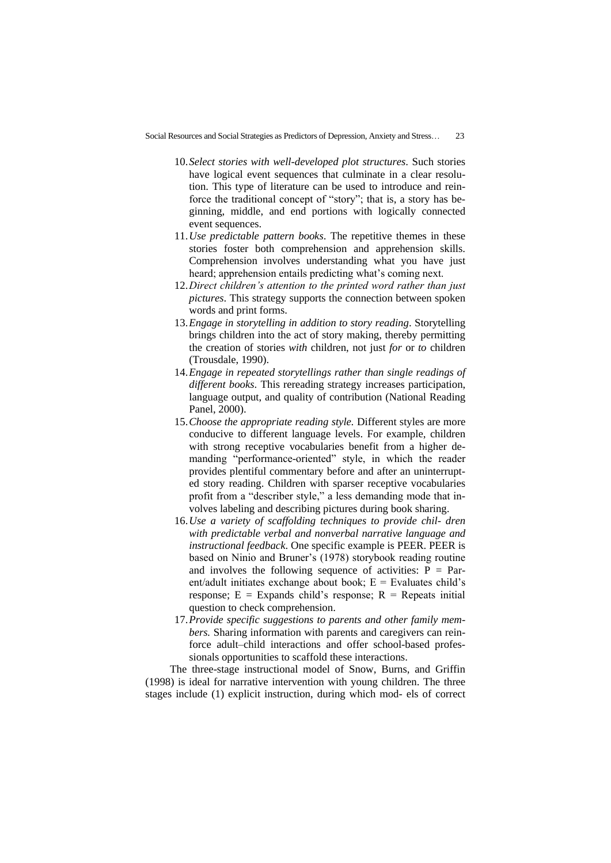- 10.*Select stories with well-developed plot structures*. Such stories have logical event sequences that culminate in a clear resolution. This type of literature can be used to introduce and reinforce the traditional concept of "story"; that is, a story has beginning, middle, and end portions with logically connected event sequences.
- 11.*Use predictable pattern books*. The repetitive themes in these stories foster both comprehension and apprehension skills. Comprehension involves understanding what you have just heard; apprehension entails predicting what's coming next.
- 12.*Direct children's attention to the printed word rather than just pictures*. This strategy supports the connection between spoken words and print forms.
- 13.*Engage in storytelling in addition to story reading*. Storytelling brings children into the act of story making, thereby permitting the creation of stories *with* children, not just *for* or *to* children (Trousdale, 1990).
- 14.*Engage in repeated storytellings rather than single readings of different books*. This rereading strategy increases participation, language output, and quality of contribution (National Reading Panel, 2000).
- 15.*Choose the appropriate reading style.* Different styles are more conducive to different language levels. For example, children with strong receptive vocabularies benefit from a higher demanding "performance-oriented" style, in which the reader provides plentiful commentary before and after an uninterrupted story reading. Children with sparser receptive vocabularies profit from a "describer style," a less demanding mode that involves labeling and describing pictures during book sharing.
- 16.*Use a variety of scaffolding techniques to provide chil- dren with predictable verbal and nonverbal narrative language and instructional feedback*. One specific example is PEER. PEER is based on Ninio and Bruner's (1978) storybook reading routine and involves the following sequence of activities:  $P = Par$ ent/adult initiates exchange about book;  $E =$  Evaluates child's response;  $E =$  Expands child's response;  $R =$  Repeats initial question to check comprehension.
- 17.*Provide specific suggestions to parents and other family members.* Sharing information with parents and caregivers can reinforce adult–child interactions and offer school-based professionals opportunities to scaffold these interactions.

The three-stage instructional model of Snow, Burns, and Griffin (1998) is ideal for narrative intervention with young children. The three stages include (1) explicit instruction, during which mod- els of correct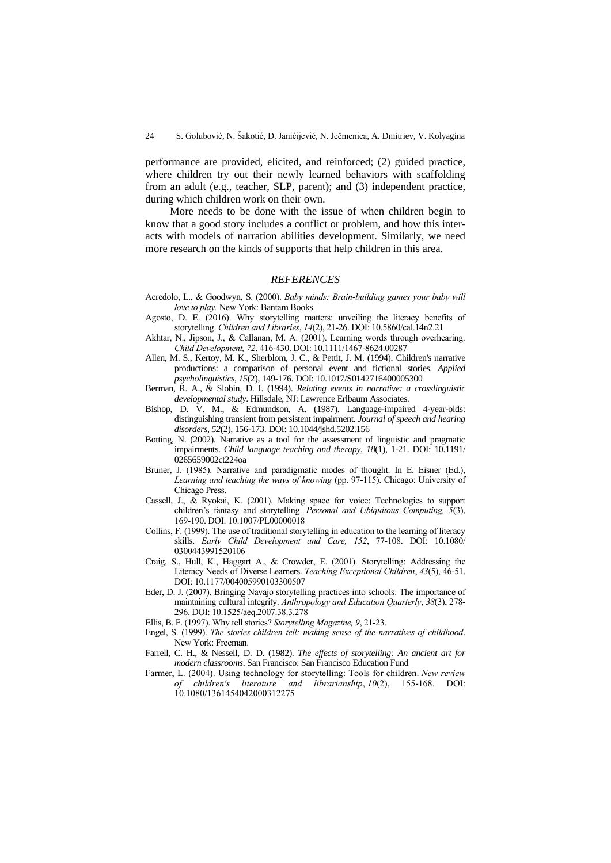performance are provided, elicited, and reinforced; (2) guided practice, where children try out their newly learned behaviors with scaffolding from an adult (e.g., teacher, SLP, parent); and (3) independent practice, during which children work on their own.

More needs to be done with the issue of when children begin to know that a good story includes a conflict or problem, and how this interacts with models of narration abilities development. Similarly, we need more research on the kinds of supports that help children in this area.

#### *REFERENCES*

- Acredolo, L., & Goodwyn, S. (2000). *Baby minds: Brain-building games your baby will love to play.* New York: Bantam Books.
- Agosto, D. E. (2016). Why storytelling matters: unveiling the literacy benefits of storytelling. *Children and Libraries*, *14*(2), 21-26. DOI: 10.5860/cal.14n2.21
- Akhtar, N., Jipson, J., & Callanan, M. A. (2001). Learning words through overhearing. *Child Development, 72*, 416-430. DOI: 10.1111/1467-8624.00287
- Allen, M. S., Kertoy, M. K., Sherblom, J. C., & Pettit, J. M. (1994). Children's narrative productions: a comparison of personal event and fictional stories. *Applied psycholinguistics*, *15*(2), 149-176. DOI: 10.1017/S0142716400005300
- Berman, R. A., & Slobin, D. I. (1994). *Relating events in narrative: a crosslinguistic developmental study*. Hillsdale, NJ: Lawrence Erlbaum Associates.
- Bishop, D. V. M., & Edmundson, A. (1987). Language-impaired 4-year-olds: distinguishing transient from persistent impairment. *Journal of speech and hearing disorders*, *52*(2), 156-173. DOI: 10.1044/jshd.5202.156
- Botting, N. (2002). Narrative as a tool for the assessment of linguistic and pragmatic impairments. *Child language teaching and therapy*, *18*(1), 1-21. DOI: 10.1191/ 0265659002ct224oa
- Bruner, J. (1985). Narrative and paradigmatic modes of thought. In E. Eisner (Ed.), Learning and teaching the ways of knowing (pp. 97-115). Chicago: University of Chicago Press.
- Cassell, J., & Ryokai, K. (2001). Making space for voice: Technologies to support children's fantasy and storytelling. *Personal and Ubiquitous Computing, 5*(3), 169-190. DOI: 10.1007/PL00000018
- Collins, F. (1999). The use of traditional storytelling in education to the learning of literacy skills. *Early Child Development and Care, 152*, 77-108. DOI: 10.1080/ 0300443991520106
- Craig, S., Hull, K., Haggart A., & Crowder, E. (2001). Storytelling: Addressing the Literacy Needs of Diverse Learners. *Teaching Exceptional Children*, *43*(5), 46-51. DOI: 10.1177/004005990103300507
- Eder, D. J. (2007). Bringing Navajo storytelling practices into schools: The importance of maintaining cultural integrity. *Anthropology and Education Quarterly*, *38*(3), 278- 296. DOI: 10.1525/aeq.2007.38.3.278
- Ellis, B. F. (1997). Why tell stories? *Storytelling Magazine, 9*, 21-23.
- Engel, S. (1999). *The stories children tell: making sense of the narratives of childhood*. New York: Freeman.
- Farrell, C. H., & Nessell, D. D. (1982). *The effects of storytelling: An ancient art for modern classrooms*. San Francisco: San Francisco Education Fund
- Farmer, L. (2004). Using technology for storytelling: Tools for children. *New review of children's literature and librarianship*, *10*(2), 155-168. DOI: 10.1080/1361454042000312275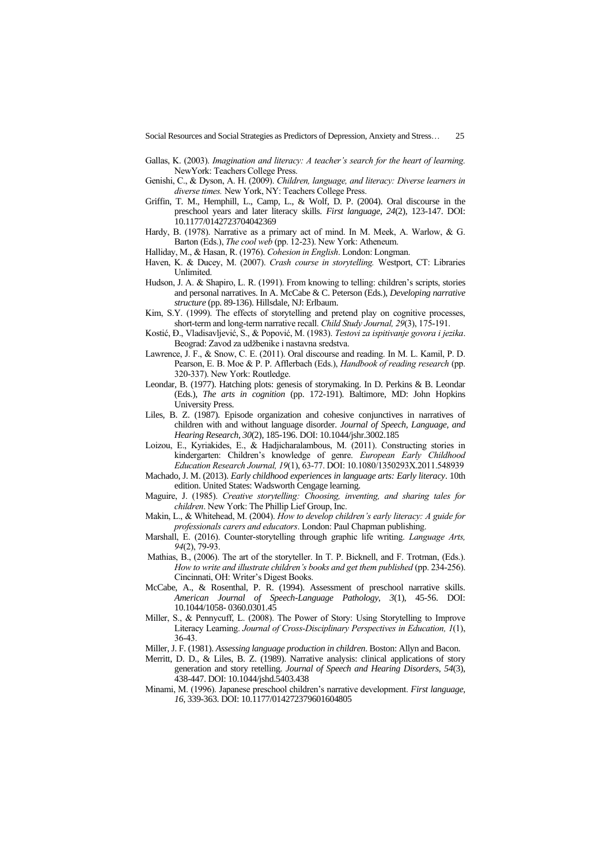- Gallas, K. (2003). *Imagination and literacy: A teacher's search for the heart of learning.*  NewYork: Teachers College Press.
- Genishi, C., & Dyson, A. H. (2009). *Children, language, and literacy: Diverse learners in diverse times.* New York, NY: Teachers College Press.
- Griffin, T. M., Hemphill, L., Camp, L., & Wolf, D. P. (2004). Oral discourse in the preschool years and later literacy skills. *First language*, *24*(2), 123-147. DOI: 10.1177/0142723704042369
- Hardy, B. (1978). Narrative as a primary act of mind. In M. Meek, A. Warlow, & G. Barton (Eds.), *The cool web* (pp. 12-23). New York: Atheneum.
- Halliday, M., & Hasan, R. (1976). *Cohesion in English*. London: Longman.
- Haven, K. & Ducey, M. (2007). *Crash course in storytelling.* Westport, CT: Libraries Unlimited.
- Hudson, J. A. & Shapiro, L. R. (1991). From knowing to telling: children's scripts, stories and personal narratives. In A. McCabe & C. Peterson (Eds.), *Developing narrative structure* (pp. 89-136). Hillsdale, NJ: Erlbaum.
- Kim, S.Y. (1999). The effects of storytelling and pretend play on cognitive processes, short-term and long-term narrative recall. *Child Study Journal, 29*(3), 175-191.
- Kostić, Đ., Vladisavljević, S., & Popović, M. (1983). *Testovi za ispitivanje govora i jezika*. Beograd: Zavod za udžbenike i nastavna sredstva.
- Lawrence, J. F., & Snow, C. E. (2011). Oral discourse and reading. In M. L. Kamil, P. D. Pearson, E. B. Moe & P. P. Afflerbach (Eds.), *Handbook of reading research* (pp. 320-337). New York: Routledge.
- Leondar, B. (1977). Hatching plots: genesis of storymaking. In D. Perkins & B. Leondar (Eds.), *The arts in cognition* (pp. 172-191). Baltimore, MD: John Hopkins University Press.
- Liles, B. Z. (1987). Episode organization and cohesive conjunctives in narratives of children with and without language disorder. *Journal of Speech, Language, and Hearing Research*, *30*(2), 185-196. DOI: 10.1044/jshr.3002.185
- Loizou, E., Kyriakides, E., & Hadjicharalambous, M. (2011). Constructing stories in kindergarten: Children's knowledge of genre. *European Early Childhood Education Research Journal, 19*(1), 63-77. DOI: 10.1080/1350293X.2011.548939
- Machado, J. M. (2013). *Early childhood experiences in language arts: Early literacy*. 10th edition. United States: Wadsworth Cengage learning.
- Maguire, J. (1985). *Creative storytelling: Choosing, inventing, and sharing tales for children*. New York: The Phillip Lief Group, Inc.
- Makin, L., & Whitehead, M. (2004). *How to develop children's early literacy: A guide for professionals carers and educators*. London: Paul Chapman publishing.
- Marshall, E. (2016). Counter-storytelling through graphic life writing. *Language Arts, 94*(2), 79-93.
- Mathias, B., (2006). The art of the storyteller. In T. P. Bicknell, and F. Trotman, (Eds.). *How to write and illustrate children's books and get them published (pp. 234-256).* Cincinnati, OH: Writer's Digest Books.
- McCabe, A., & Rosenthal, P. R. (1994). Assessment of preschool narrative skills. *American Journal of Speech-Language Pathology, 3*(1), 45-56. DOI: 10.1044/1058- 0360.0301.45
- Miller, S., & Pennycuff, L. (2008). The Power of Story: Using Storytelling to Improve Literacy Learning. *Journal of Cross-Disciplinary Perspectives in Education, 1*(1), 36-43.
- Miller, J. F. (1981). *Assessing language production in children*. Boston: Allyn and Bacon.
- Merritt, D. D., & Liles, B. Z. (1989). Narrative analysis: clinical applications of story generation and story retelling. *Journal of Speech and Hearing Disorders*, *54*(3), 438-447. DOI: 10.1044/jshd.5403.438
- Minami, M. (1996). Japanese preschool children's narrative development. *First language, 16*, 339-363. DOI: 10.1177/014272379601604805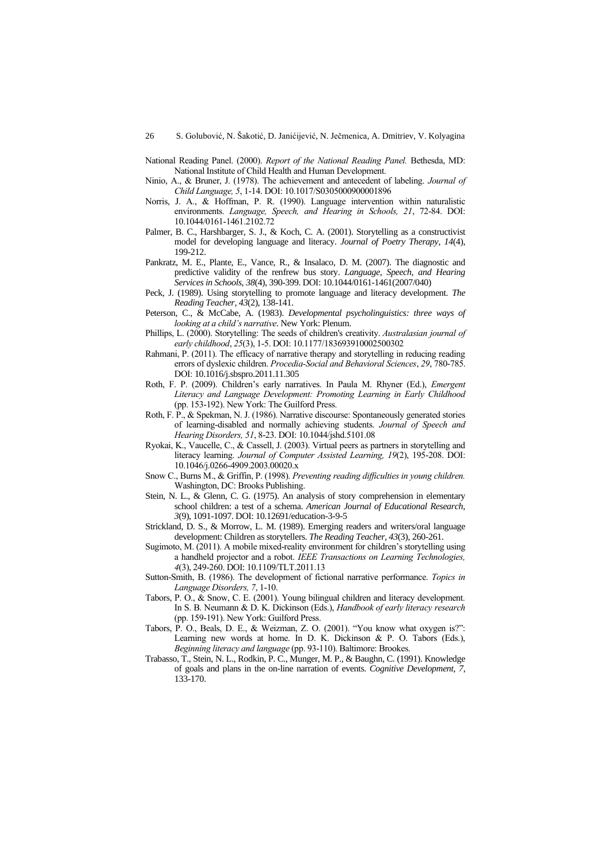- National Reading Panel. (2000). *Report of the National Reading Panel.* Bethesda, MD: National Institute of Child Health and Human Development.
- Ninio, A., & Bruner, J. (1978). The achievement and antecedent of labeling. *Journal of Child Language, 5*, 1-14. DOI: 10.1017/S0305000900001896
- Norris, J. A., & Hoffman, P. R. (1990). Language intervention within naturalistic environments. *Language, Speech, and Hearing in Schools, 21*, 72-84. DOI: 10.1044/0161-1461.2102.72
- Palmer, B. C., Harshbarger, S. J., & Koch, C. A. (2001). Storytelling as a constructivist model for developing language and literacy. *Journal of Poetry Therapy, 14*(4), 199-212.
- Pankratz, M. E., Plante, E., Vance, R., & Insalaco, D. M. (2007). The diagnostic and predictive validity of the renfrew bus story. *Language, Speech, and Hearing Services in Schools*, *38*(4), 390-399. DOI: 10.1044/0161-1461(2007/040)
- Peck, J. (1989). Using storytelling to promote language and literacy development. *The Reading Teacher, 43*(2), 138-141.
- Peterson, C., & McCabe, A. (1983). *Developmental psycholinguistics: three ways of looking at a child's narrative*. New York: Plenum.
- Phillips, L. (2000). Storytelling: The seeds of children's creativity. *Australasian journal of early childhood*, *25*(3), 1-5. DOI: 10.1177/183693910002500302
- Rahmani, P. (2011). The efficacy of narrative therapy and storytelling in reducing reading errors of dyslexic children. *Procedia-Social and Behavioral Sciences*, *29*, 780-785. DOI: 10.1016/j.sbspro.2011.11.305
- Roth, F. P. (2009). Children's early narratives. In Paula M. Rhyner (Ed.), *Emergent Literacy and Language Development: Promoting Learning in Early Childhood* (pp. 153-192). New York: The Guilford Press.
- Roth, F. P., & Spekman, N. J. (1986). Narrative discourse: Spontaneously generated stories of learning-disabled and normally achieving students. *Journal of Speech and Hearing Disorders, 51*, 8-23. DOI: 10.1044/jshd.5101.08
- Ryokai, K., Vaucelle, C., & Cassell, J. (2003). Virtual peers as partners in storytelling and literacy learning. *Journal of Computer Assisted Learning, 19*(2), 195-208. DOI: 10.1046/j.0266-4909.2003.00020.x
- Snow C., Burns M., & Griffin, P. (1998). *Preventing reading difficulties in young children.*  Washington, DC: Brooks Publishing.
- Stein, N. L., & Glenn, C. G. (1975). An analysis of story comprehension in elementary school children: a test of a schema. *American Journal of Educational Research, 3*(9), 1091-1097. DOI: 10.12691/education-3-9-5
- Strickland, D. S., & Morrow, L. M. (1989). Emerging readers and writers/oral language development: Children as storytellers. *The Reading Teacher, 43*(3), 260-261.
- Sugimoto, M. (2011). A mobile mixed-reality environment for children's storytelling using a handheld projector and a robot. *IEEE Transactions on Learning Technologies, 4*(3), 249-260. DOI: 10.1109/TLT.2011.13
- Sutton-Smith, B. (1986). The development of fictional narrative performance. *Topics in Language Disorders, 7*, 1-10.
- Tabors, P. O., & Snow, C. E. (2001). Young bilingual children and literacy development. In S. B. Neumann & D. K. Dickinson (Eds.), *Handbook of early literacy research*  (pp. 159-191). New York: Guilford Press.
- Tabors, P. O., Beals, D. E., & Weizman, Z. O. (2001). "You know what oxygen is?": Learning new words at home. In D. K. Dickinson & P. O. Tabors (Eds.), *Beginning literacy and language* (pp. 93-110). Baltimore: Brookes.
- Trabasso, T., Stein, N. L., Rodkin, P. C., Munger, M. P., & Baughn, C. (1991). Knowledge of goals and plans in the on-line narration of events. *Cognitive Development, 7*, 133-170.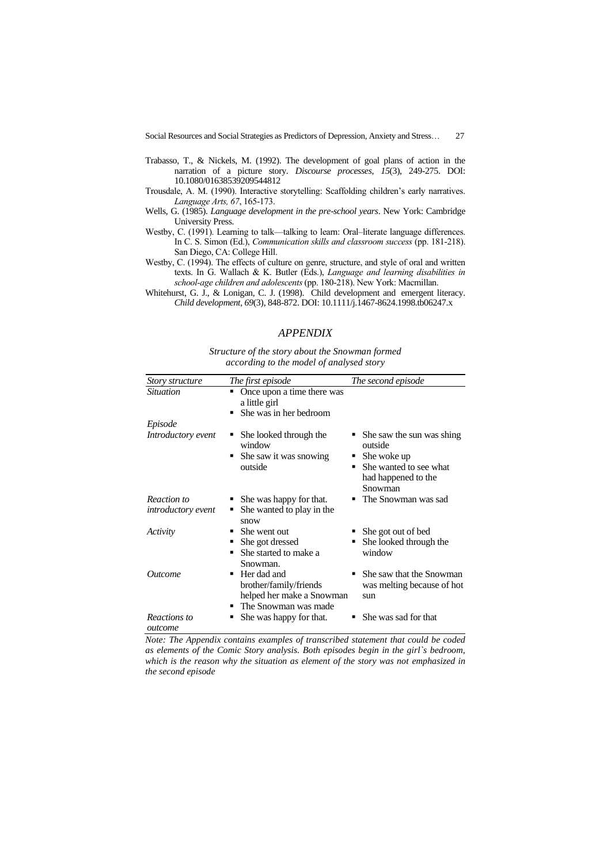- Trabasso, T., & Nickels, M. (1992). The development of goal plans of action in the narration of a picture story. *Discourse processes*, *15*(3), 249-275. DOI: 10.1080/01638539209544812
- Trousdale, A. M. (1990). Interactive storytelling: Scaffolding children's early narratives. *Language Arts, 67*, 165-173.
- Wells, G. (1985). *Language development in the pre-school years*. New York: Cambridge University Press.
- Westby, C. (1991). Learning to talk—talking to learn: Oral–literate language differences. In C. S. Simon (Ed.), *Communication skills and classroom success* (pp. 181-218). San Diego, CA: College Hill.
- Westby, C. (1994). The effects of culture on genre, structure, and style of oral and written texts. In G. Wallach & K. Butler (Eds.), *Language and learning disabilities in school-age children and adolescents* (pp. 180-218). New York: Macmillan.
- Whitehurst, G. J., & Lonigan, C. J. (1998). Child development and emergent literacy. *Child development*, *69*(3), 848-872. DOI: 10.1111/j.1467-8624.1998.tb06247.x

## *APPENDIX*

*Structure of the story about the Snowman formed according to the model of analysed story* 

| Story structure         | The first episode                                                                                    | The second episode                                                                                                |
|-------------------------|------------------------------------------------------------------------------------------------------|-------------------------------------------------------------------------------------------------------------------|
| <i>Situation</i>        | Once upon a time there was<br>٠<br>a little girl<br>She was in her bedroom                           |                                                                                                                   |
| Episode                 |                                                                                                      |                                                                                                                   |
| Introductory event      | She looked through the<br>window<br>She saw it was snowing<br>٠<br>outside                           | • She saw the sun was shing<br>outside<br>She woke up<br>She wanted to see what<br>had happened to the<br>Snowman |
| Reaction to             | She was happy for that.                                                                              | • The Snowman was sad                                                                                             |
| introductory event      | She wanted to play in the<br>٠<br>snow                                                               |                                                                                                                   |
| Activity                | She went out<br>▬<br>She got dressed<br>She started to make a<br>Snowman.                            | She got out of bed<br>She looked through the<br>window                                                            |
| Outcome                 | Her dad and<br>٠<br>brother/family/friends<br>helped her make a Snowman<br>The Snowman was made<br>٠ | She saw that the Snowman<br>was melting because of hot<br>sun                                                     |
| Reactions to<br>outcome | She was happy for that.                                                                              | She was sad for that                                                                                              |

*Note: The Appendix contains examples of transcribed statement that could be coded as elements of the Comic Story analysis. Both episodes begin in the girl`s bedroom, which is the reason why the situation as element of the story was not emphasized in the second episode*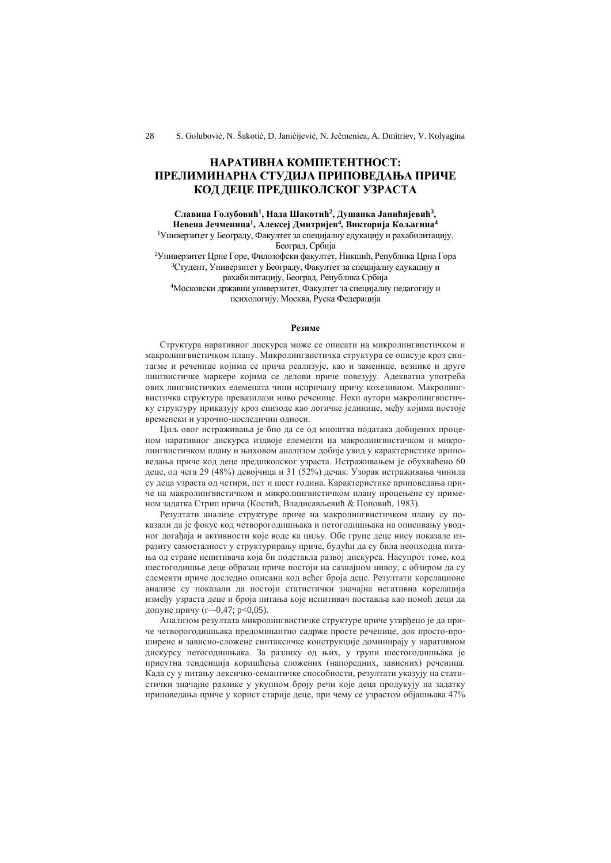# **НАРАТИВНA КОМПЕТЕНТНОСТ: ПРЕЛИМИНАРНА СТУДИЈА ПРИПОВЕДАЊА ПРИЧЕ КОД ДЕЦЕ ПРЕДШКОЛСКОГ УЗРАСТА**

**Славица Голубовић<sup>1</sup> , Нада Шакотић<sup>2</sup> , Душанка Јанићијевић<sup>3</sup> , Невена Јечменица<sup>1</sup> , Алексеј Дмитријев<sup>4</sup> , Викторија Кољагина<sup>4</sup>** <sup>1</sup>Универзитет у Београду, Факултет за специјалну едукацију и рахабилитацију,

Београд, Србија

<sup>2</sup>Универзитет Црне Горе, Филозофски факултет, Никшић, Република Црна Гора <sup>3</sup>Студент, Универзитет у Београду, Факултет за специјалну едукацију и рахабилитацију, Београд, Република Србија <sup>4</sup>Московски државни универзитет, Факултет за специјалну педагогију и психологију, Москва, Руска Федерација

#### **Резиме**

Структура наративног дискурса може се описати на микролингвистичком и макролингвистичком плану. Микролингвистичка структура се описује кроз синтагме и реченице којима се прича реализује, као и заменице, везнике и друге лингвистичке маркере којима се делови приче повезују. Адекватна употреба ових лингвистичких елемената чини испричану причу кохезивном. Макролингвистичка структура превазилази ниво реченице. Неки аутори макролингвистичку структуру приказују кроз епизоде као логичке јединице, међу којима постоје временски и узрочно-последични односи.

Циљ овог истраживања је био да се од мноштва података добијених проценом наративног дискурса издвоје елементи на макролингвистичком и микролингвистичком плану и њиховом анализом добије увид у карактеристике приповедања приче код деце предшколског узраста. Истраживањем је обухваћено 60 деце, од чега 29 (48%) девојчица и 31 (52%) дечак. Узорак истраживања чинила су деца узраста од четири, пет и шест година. Карактеристике приповедања приче на макролингвистичком и микролингвистичком плану процењене су применом задатка Стрип прича (Костић, Владисављевић & Поповић, 1983).

Резултати анализе структуре приче на макролингвистичком плану су показали да је фокус код четворогодишњака и петогодишњака на описивању уводног догађаја и активности које воде ка циљу. Обе групе деце нису показале изразиту самосталност у структурирању приче, будући да су била неопходна питања од стране испитивача која би подстакла развој дискурса. Насупрот томе, код шестогодишње деце образац приче постоји на сазнајном нивоу, с обзиром да су елементи приче доследно описани код већег броја деце. Резултати корелационе анализе су показали да постоји статистички значајна негативна корелација између узраста деце и броја питања које испитивач поставља као помоћ деци да допуне причу (r=-0,47; p<0,05).

Анализом резултата микролингвистичке структуре приче утврђено је да приче четворогодишњака предоминантно садрже просте реченице, док просто-проширене и зависно-сложене синтаксичке конструкције доминирају у наративном дискурсу петогодишњака. За разлику од њих, у групи шестогодишњака је присутна тенденција коришћења сложених (напоредних, зависних) реченица. Када су у питању лексичко-семантичке способности, резултати указују на статистички значајне разлике у укупном броју речи које деца продукују на задатку приповедања приче у корист старије деце, при чему се узрастом објашњава 47%